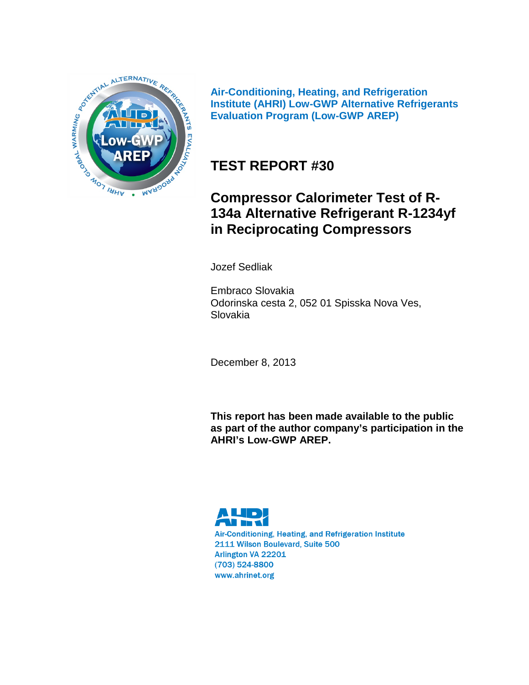

**Air-Conditioning, Heating, and Refrigeration Institute (AHRI) Low-GWP Alternative Refrigerants Evaluation Program (Low-GWP AREP)**

# **TEST REPORT #30**

## **Compressor Calorimeter Test of R-134a Alternative Refrigerant R-1234yf in Reciprocating Compressors**

Jozef Sedliak

Embraco Slovakia Odorinska cesta 2, 052 01 Spisska Nova Ves, Slovakia

December 8, 2013

**This report has been made available to the public as part of the author company's participation in the AHRI's Low-GWP AREP.**

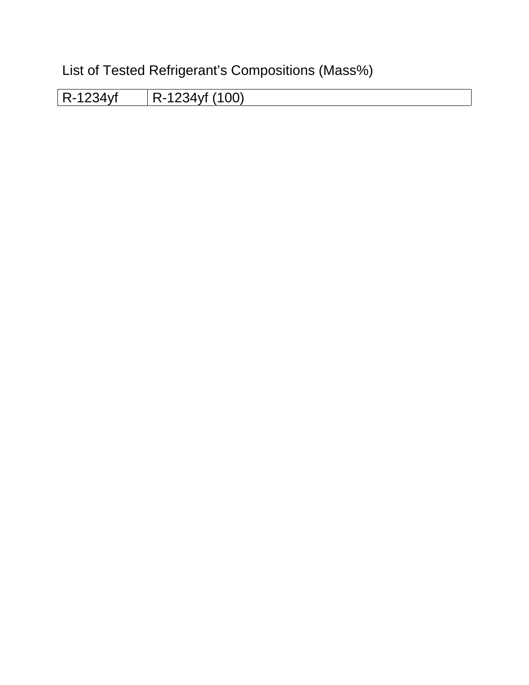List of Tested Refrigerant's Compositions (Mass%)

R-1234yf R-1234yf (100)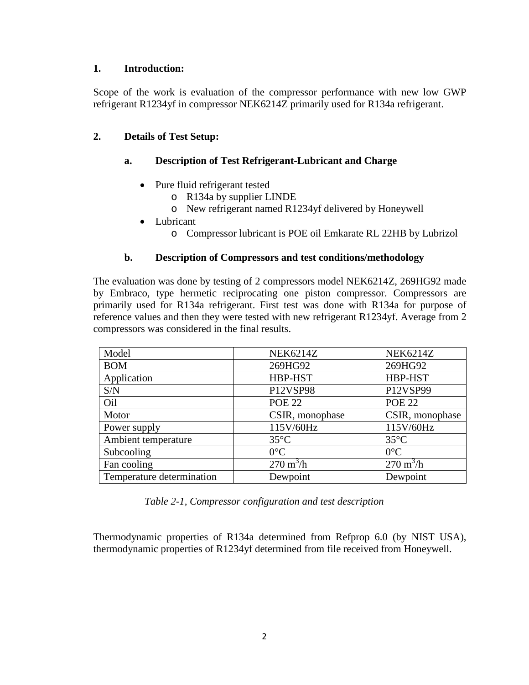## **1. Introduction:**

Scope of the work is evaluation of the compressor performance with new low GWP refrigerant R1234yf in compressor NEK6214Z primarily used for R134a refrigerant.

## **2. Details of Test Setup:**

## **a. Description of Test Refrigerant-Lubricant and Charge**

- Pure fluid refrigerant tested
	- o R134a by supplier LINDE
	- o New refrigerant named R1234yf delivered by Honeywell
- Lubricant
	- o Compressor lubricant is POE oil Emkarate RL 22HB by Lubrizol

## **b. Description of Compressors and test conditions/methodology**

The evaluation was done by testing of 2 compressors model NEK6214Z, 269HG92 made by Embraco, type hermetic reciprocating one piston compressor. Compressors are primarily used for R134a refrigerant. First test was done with R134a for purpose of reference values and then they were tested with new refrigerant R1234yf. Average from 2 compressors was considered in the final results.

| Model                     | <b>NEK6214Z</b>            | <b>NEK6214Z</b>            |
|---------------------------|----------------------------|----------------------------|
| <b>BOM</b>                | 269HG92                    | 269HG92                    |
| Application               | HBP-HST                    | HBP-HST                    |
| S/N                       | P12VSP98                   | P12VSP99                   |
| Oil                       | <b>POE 22</b>              | <b>POE 22</b>              |
| Motor                     | CSIR, monophase            | CSIR, monophase            |
| Power supply              | 115V/60Hz                  | 115V/60Hz                  |
| Ambient temperature       | $35^{\circ}$ C             | $35^{\circ}$ C             |
| Subcooling                | $0^{\circ}$ C              | $0^{\circ}$ C              |
| Fan cooling               | $270 \text{ m}^3/\text{h}$ | $270 \text{ m}^3/\text{h}$ |
| Temperature determination | Dewpoint                   | Dewpoint                   |

*Table 2-1, Compressor configuration and test description*

Thermodynamic properties of R134a determined from Refprop 6.0 (by NIST USA), thermodynamic properties of R1234yf determined from file received from Honeywell.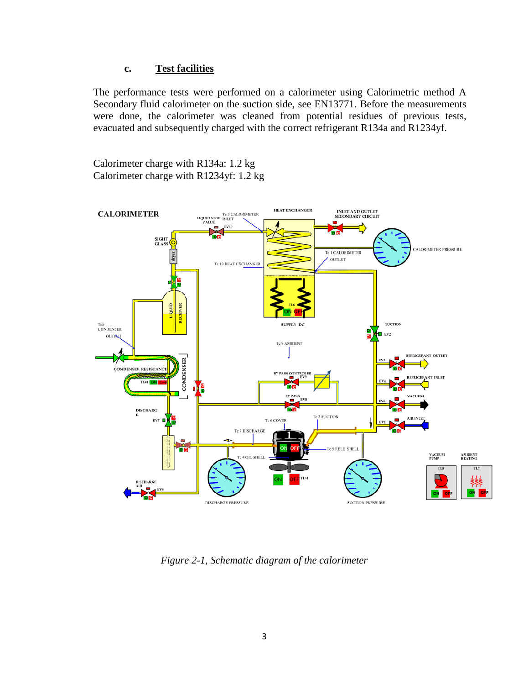### **c. Test facilities**

The performance tests were performed on a calorimeter using Calorimetric method A Secondary fluid calorimeter on the suction side, see EN13771. Before the measurements were done, the calorimeter was cleaned from potential residues of previous tests, evacuated and subsequently charged with the correct refrigerant R134a and R1234yf.

Calorimeter charge with R134a: 1.2 kg Calorimeter charge with R1234yf: 1.2 kg



*Figure 2-1, Schematic diagram of the calorimeter*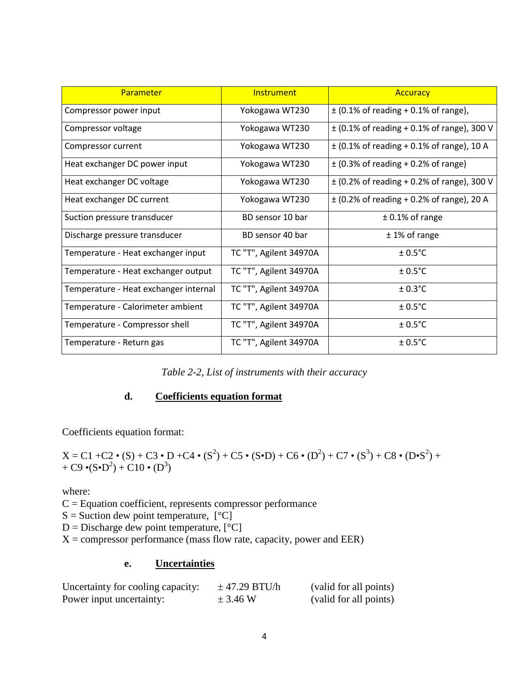| Parameter                             | <b>Instrument</b>      | <b>Accuracy</b>                                |
|---------------------------------------|------------------------|------------------------------------------------|
| Compressor power input                | Yokogawa WT230         | $\pm$ (0.1% of reading + 0.1% of range),       |
| Compressor voltage                    | Yokogawa WT230         | $\pm$ (0.1% of reading + 0.1% of range), 300 V |
| Compressor current                    | Yokogawa WT230         | $\pm$ (0.1% of reading + 0.1% of range), 10 A  |
| Heat exchanger DC power input         | Yokogawa WT230         | $\pm$ (0.3% of reading + 0.2% of range)        |
| Heat exchanger DC voltage             | Yokogawa WT230         | $\pm$ (0.2% of reading + 0.2% of range), 300 V |
| Heat exchanger DC current             | Yokogawa WT230         | $\pm$ (0.2% of reading + 0.2% of range), 20 A  |
| Suction pressure transducer           | BD sensor 10 bar       | $± 0.1\%$ of range                             |
| Discharge pressure transducer         | BD sensor 40 bar       | $± 1\%$ of range                               |
| Temperature - Heat exchanger input    | TC "T", Agilent 34970A | $± 0.5$ °C                                     |
| Temperature - Heat exchanger output   | TC "T", Agilent 34970A | $\pm$ 0.5°C                                    |
| Temperature - Heat exchanger internal | TC "T", Agilent 34970A | $\pm$ 0.3°C                                    |
| Temperature - Calorimeter ambient     | TC "T", Agilent 34970A | $\pm$ 0.5°C                                    |
| Temperature - Compressor shell        | TC "T", Agilent 34970A | $\pm$ 0.5°C                                    |
| Temperature - Return gas              | TC "T", Agilent 34970A | $± 0.5$ °C                                     |

## **d. Coefficients equation format**

Coefficients equation format:

$$
X = C1 + C2 \cdot (S) + C3 \cdot D + C4 \cdot (S^2) + C5 \cdot (S \cdot D) + C6 \cdot (D^2) + C7 \cdot (S^3) + C8 \cdot (D \cdot S^2) + C9 \cdot (S \cdot D^2) + C10 \cdot (D^3)
$$

where:

 $C =$  Equation coefficient, represents compressor performance

 $S =$  Suction dew point temperature,  $[°C]$ 

 $D =$  Discharge dew point temperature,  $[°C]$ 

 $X =$  compressor performance (mass flow rate, capacity, power and EER)

## **e. Uncertainties**

| Uncertainty for cooling capacity: | $\pm$ 47.29 BTU/h | (valid for all points) |
|-----------------------------------|-------------------|------------------------|
| Power input uncertainty:          | $\pm$ 3.46 W      | (valid for all points) |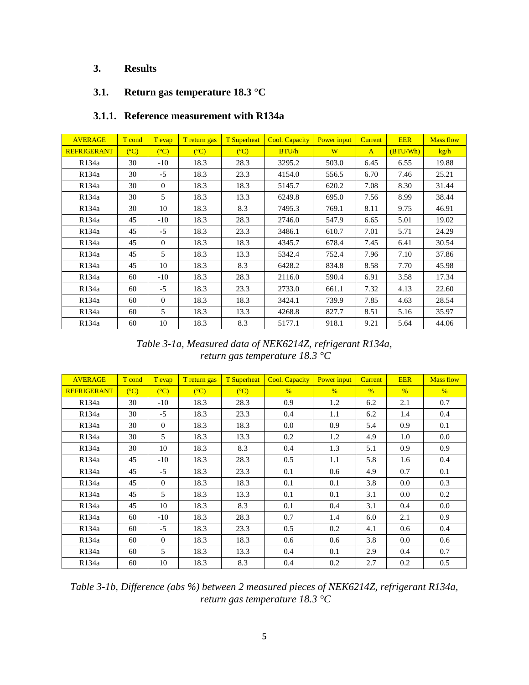## **3. Results**

## **3.1. Return gas temperature 18.3 °C**

### **3.1.1. Reference measurement with R134a**

| <b>AVERAGE</b>     | T cond         | T evap         | T return gas   | <b>T</b> Superheat | Cool. Capacity  | Power input | <b>Current</b> | <b>EER</b> | <b>Mass flow</b> |
|--------------------|----------------|----------------|----------------|--------------------|-----------------|-------------|----------------|------------|------------------|
| <b>REFRIGERANT</b> | $(C^{\circ}C)$ | $(C^{\circ}C)$ | $(C^{\circ}C)$ | $(C^{\circ}C)$     | BTU/h           | W           | $\mathbf{A}$   | (BTU/Wh)   | kg/h             |
| R134a              | 30             | $-10$          | 18.3           | 28.3               | 3295.2          | 503.0       | 6.45           | 6.55       | 19.88            |
| R134a              | 30             | $-5$           | 18.3           | 23.3               | 4154.0          | 556.5       | 6.70           | 7.46       | 25.21            |
| R134a              | 30             | $\overline{0}$ | 18.3           | 18.3               | 5145.7          | 620.2       | 7.08           | 8.30       | 31.44            |
| R134a              | 30             | 5              | 18.3           | 13.3               | 6249.8          | 695.0       | 7.56           | 8.99       | 38.44            |
| R134a              | 30             | 10             | 18.3           | 8.3                | 7495.3          | 769.1       | 8.11           | 9.75       | 46.91            |
| R134a              | 45             | $-10$          | 18.3           | 28.3               | 2746.0<br>547.9 |             | 6.65           | 5.01       | 19.02            |
| R134a              | 45             | $-5$           | 18.3           | 23.3               | 3486.1          | 610.7       | 7.01           | 5.71       | 24.29            |
| R134a              | 45             | $\overline{0}$ | 18.3           | 18.3               | 4345.7          | 678.4       | 7.45           | 6.41       | 30.54            |
| R134a              | 45             | 5              | 18.3           | 13.3               | 5342.4          | 752.4       | 7.96           | 7.10       | 37.86            |
| R134a              | 45             | 10             | 18.3           | 8.3                | 6428.2          | 834.8       | 8.58           | 7.70       | 45.98            |
| R134a              | 60             | $-10$          | 18.3           | 28.3               | 2116.0          | 590.4       | 6.91           | 3.58       | 17.34            |
| R134a              | 60             | $-5$           | 18.3           | 23.3               | 2733.0          | 661.1       | 7.32           | 4.13       | 22.60            |
| R134a              | 60             | $\mathbf{0}$   | 18.3           | 18.3               | 3424.1          | 739.9       | 7.85           | 4.63       | 28.54            |
| R134a              | 60             | 5              | 18.3           | 13.3               | 4268.8          | 827.7       | 8.51           | 5.16       | 35.97            |
| R134a              | 60             | 10             | 18.3           | 8.3                | 5177.1          | 918.1       | 9.21           | 5.64       | 44.06            |

## *Table 3-1a, Measured data of NEK6214Z, refrigerant R134a, return gas temperature 18.3 °C*

| <b>AVERAGE</b>     | T cond         | T evap         | T return gas   | <b>T</b> Superheat | <b>Cool. Capacity</b> | Power input   | <b>Current</b> | <b>EER</b>    | <b>Mass flow</b> |
|--------------------|----------------|----------------|----------------|--------------------|-----------------------|---------------|----------------|---------------|------------------|
| <b>REFRIGERANT</b> | $(C^{\circ}C)$ | $(C^{\circ}C)$ | $(C^{\circ}C)$ | (C)                | $\frac{0}{6}$         | $\frac{0}{6}$ | $\%$           | $\frac{0}{6}$ | $\frac{0}{6}$    |
| R134a              | 30             | $-10$          | 18.3           | 28.3               | 0.9                   | 1.2           | 6.2            | 2.1           | 0.7              |
| R134a              | 30             | $-5$           | 18.3           | 23.3               | 0.4                   | 1.1           | 6.2            | 1.4           | 0.4              |
| R134a              | 30             | $\theta$       | 18.3           | 18.3               | 0.0                   | 0.9           | 5.4            | 0.9           | 0.1              |
| R134a              | 30             | 5              | 18.3           | 13.3               | 0.2                   | 1.2           | 4.9            | 1.0           | 0.0              |
| R134a              | 30             | 10             | 18.3           | 8.3                | 0.4                   | 1.3           | 5.1            | 0.9           | 0.9              |
| R134a              | 45             | $-10$          | 18.3           | 28.3               | 0.5                   | 1.1           | 5.8            | 1.6           | 0.4              |
| R134a              | 45             | $-5$           | 18.3           | 23.3               | 0.1                   | 0.6           | 4.9            | 0.7           | 0.1              |
| R134a              | 45             | $\Omega$       | 18.3           | 18.3               | 0.1                   | 0.1           | 3.8            | 0.0           | 0.3              |
| R134a              | 45             | 5              | 18.3           | 13.3               | 0.1                   | 0.1           | 3.1            | $0.0\,$       | 0.2              |
| R134a              | 45             | 10             | 18.3           | 8.3                | 0.1                   | 0.4           | 3.1            | 0.4           | 0.0              |
| R134a              | 60             | $-10$          | 18.3           | 28.3               | 0.7                   | 1.4           | 6.0            | 2.1           | 0.9              |
| R134a              | 60             | $-5$           | 18.3           | 23.3               | 0.5                   | 0.2           | 4.1            | 0.6           | 0.4              |
| R134a              | 60             | $\Omega$       | 18.3           | 18.3               | 0.6                   | 0.6           | 3.8            | 0.0           | 0.6              |
| R134a              | 60             | 5              | 18.3           | 13.3               | 0.4                   | 0.1           | 2.9            | 0.4           | 0.7              |
| R134a              | 60             | 10             | 18.3           | 8.3                | 0.4                   | 0.2           | 2.7            | 0.2           | 0.5              |

*Table 3-1b, Difference (abs %) between 2 measured pieces of NEK6214Z, refrigerant R134a, return gas temperature 18.3 °C*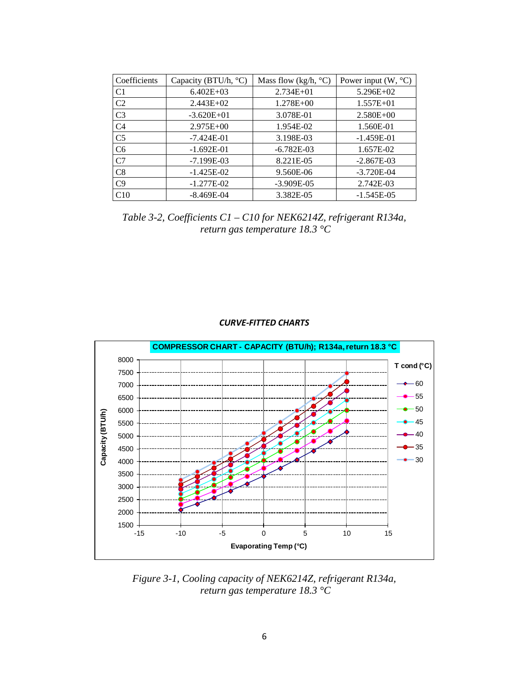| Coefficients   | Capacity (BTU/h, °C) | Mass flow (kg/h, $^{\circ}$ C) | Power input $(W, {}^{\circ}C)$ |
|----------------|----------------------|--------------------------------|--------------------------------|
| C <sub>1</sub> | $6.402E+03$          | $2.734E + 01$                  | $5.296E+02$                    |
| C <sub>2</sub> | $2.443E+02$          | $1.278E + 00$                  | $1.557E + 01$                  |
| C <sub>3</sub> | $-3.620E + 01$       | 3.078E-01                      | $2.580E + 00$                  |
| C <sub>4</sub> | $2.975E+00$          | 1.954E-02                      | 1.560E-01                      |
| C <sub>5</sub> | $-7.424E-01$         | 3.198E-03                      | $-1.459E-01$                   |
| C <sub>6</sub> | $-1.692E-01$         | $-6.782E-03$                   | 1.657E-02                      |
| C7             | $-7.199E-03$         | 8.221E-05                      | $-2.867E-03$                   |
| C8             | $-1.425E-02$         | 9.560E-06                      | $-3.720E-04$                   |
| C9             | $-1.277E-02$         | $-3.909E-05$                   | 2.742E-03                      |
| C10            | $-8.469E-04$         | 3.382E-05                      | $-1.545E-05$                   |

*Table 3-2, Coefficients C1 – C10 for NEK6214Z, refrigerant R134a, return gas temperature 18.3 °C*

![](_page_6_Figure_2.jpeg)

### *CURVE-FITTED CHARTS*

*Figure 3-1, Cooling capacity of NEK6214Z, refrigerant R134a, return gas temperature 18.3 °C*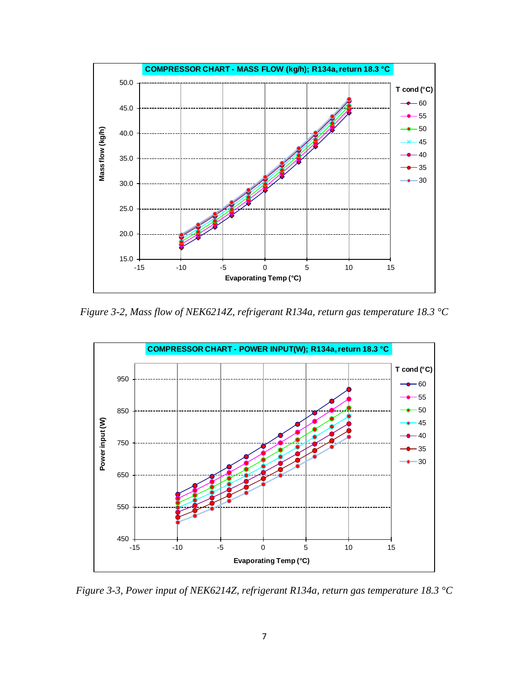![](_page_7_Figure_0.jpeg)

*Figure 3-2, Mass flow of NEK6214Z, refrigerant R134a, return gas temperature 18.3 °C*

![](_page_7_Figure_2.jpeg)

*Figure 3-3, Power input of NEK6214Z, refrigerant R134a, return gas temperature 18.3 °C*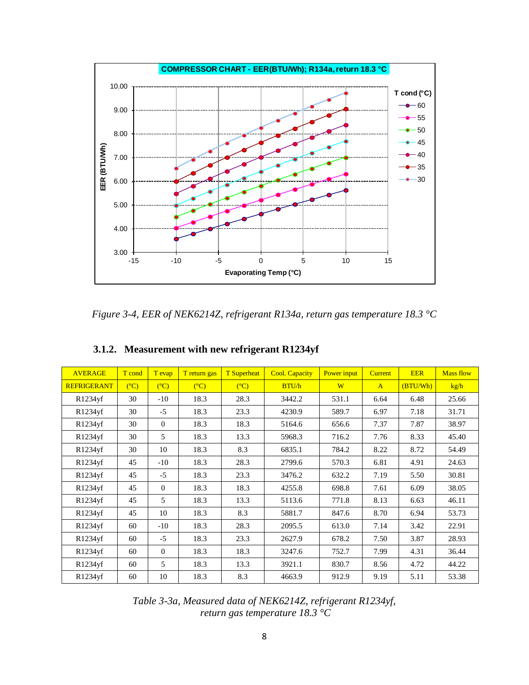![](_page_8_Figure_0.jpeg)

*Figure 3-4, EER of NEK6214Z, refrigerant R134a, return gas temperature 18.3 °C*

| <b>AVERAGE</b>     | T cond         | T evap         | T return gas   | <b>T</b> Superheat | <b>Cool. Capacity</b><br><b>Power</b> input<br><b>EER</b><br><b>Current</b> |               | <b>Mass flow</b> |          |       |
|--------------------|----------------|----------------|----------------|--------------------|-----------------------------------------------------------------------------|---------------|------------------|----------|-------|
| <b>REFRIGERANT</b> | $(C^{\circ}C)$ | (C)            | $(C^{\circ}C)$ | $(C^{\circ}C)$     | BTU/h                                                                       | W             | $\mathbf{A}$     | (BTU/Wh) | kg/h  |
| R1234yf            | 30             | $-10$          | 18.3           | 28.3               | 3442.2                                                                      | 531.1         | 6.64             | 6.48     | 25.66 |
| R1234yf            | 30             | $-5$           | 18.3           | 23.3               | 4230.9                                                                      | 589.7         | 6.97             | 7.18     | 31.71 |
| R1234yf            | 30             | $\overline{0}$ | 18.3           | 18.3               | 5164.6                                                                      | 656.6         | 7.37             | 7.87     | 38.97 |
| R1234yf            | 30             | 5              | 18.3           | 13.3               | 5968.3                                                                      | 716.2         | 7.76             | 8.33     | 45.40 |
| R1234yf            | 30             | 10             | 18.3           | 8.3                | 6835.1                                                                      | 784.2         | 8.22             | 8.72     | 54.49 |
| R1234yf            | 45             | $-10$          | 18.3           | 28.3               | 2799.6                                                                      | 570.3         | 6.81             | 4.91     | 24.63 |
| R1234yf            | 45             | $-5$           | 18.3           | 23.3               | 3476.2                                                                      | 632.2<br>7.19 |                  | 5.50     | 30.81 |
| R1234yf            | 45             | $\mathbf{0}$   | 18.3           | 18.3               | 4255.8                                                                      | 698.8         | 7.61             | 6.09     | 38.05 |
| R1234yf            | 45             | 5              | 18.3           | 13.3               | 5113.6                                                                      | 771.8         | 8.13             | 6.63     | 46.11 |
| R1234yf            | 45             | 10             | 18.3           | 8.3                | 5881.7                                                                      | 847.6         | 8.70             | 6.94     | 53.73 |
| R1234yf            | 60             | $-10$          | 18.3           | 28.3               | 2095.5                                                                      | 613.0         | 7.14             | 3.42     | 22.91 |
| R1234yf            | 60             | $-5$           | 18.3           | 23.3               | 2627.9                                                                      | 678.2         | 7.50             | 3.87     | 28.93 |
| R1234yf            | 60             | $\mathbf{0}$   | 18.3           | 18.3               | 3247.6                                                                      | 752.7         | 7.99             | 4.31     | 36.44 |
| R1234yf            | 60             | 5              | 18.3           | 13.3               | 3921.1                                                                      | 830.7         | 8.56             | 4.72     | 44.22 |
| R1234yf            | 60             | 10             | 18.3           | 8.3                | 4663.9                                                                      | 912.9         | 9.19             | 5.11     | 53.38 |

## **3.1.2. Measurement with new refrigerant R1234yf**

*Table 3-3a, Measured data of NEK6214Z, refrigerant R1234yf, return gas temperature 18.3 °C*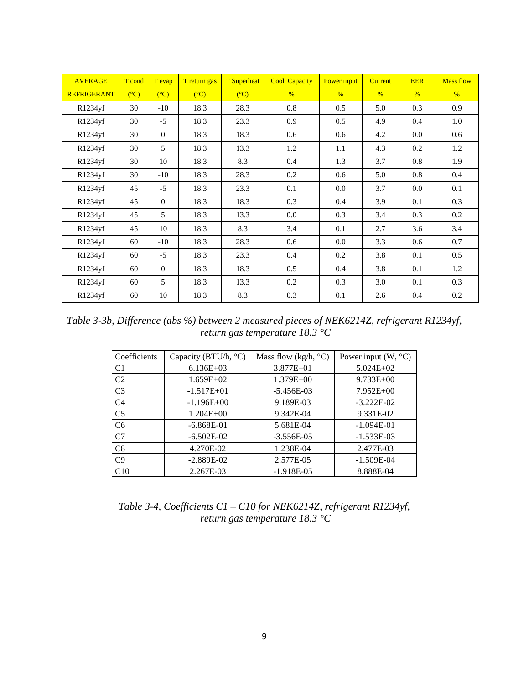| <b>AVERAGE</b>     | T cond         | T evap       | T return gas   | <b>T</b> Superheat | <b>Cool. Capacity</b> | Power input   | <b>Current</b> | <b>EER</b>    | <b>Mass flow</b> |
|--------------------|----------------|--------------|----------------|--------------------|-----------------------|---------------|----------------|---------------|------------------|
| <b>REFRIGERANT</b> | $(C^{\circ}C)$ | (C)          | $(C^{\circ}C)$ | (C)                | $\frac{0}{6}$         | $\frac{0}{6}$ | $\frac{9}{6}$  | $\frac{0}{6}$ | $\frac{0}{6}$    |
| R1234yf            | 30             | $-10$        | 18.3           | 28.3               | 0.8                   | 0.5           | 5.0            | 0.3           | 0.9              |
| R1234yf            | 30             | $-5$         | 18.3           | 23.3               | 0.9                   | 0.5           | 4.9            | 0.4           | 1.0              |
| R1234yf            | 30             | $\mathbf{0}$ | 18.3           | 18.3               | 0.6                   | 0.6           | 4.2            | 0.0           | 0.6              |
| R1234yf            | 30             | 5            | 18.3           | 13.3               | 1.2                   | 1.1           | 4.3            | 0.2           | 1.2              |
| R1234yf            | 30             | 10           | 18.3           | 8.3                | 0.4                   | 1.3           | 3.7            | 0.8           | 1.9              |
| R1234yf            | 30             | $-10$        | 18.3           | 28.3               | 0.2                   | 0.6           | 5.0            | 0.8           | 0.4              |
| R1234yf            | 45             | $-5$         | 18.3           | 23.3               | 0.1                   | 0.0           | 3.7            | 0.0           | 0.1              |
| R1234yf            | 45             | $\mathbf{0}$ | 18.3           | 18.3               | 0.3                   | 0.4           | 3.9            | 0.1           | 0.3              |
| R1234yf            | 45             | 5            | 18.3           | 13.3               | 0.0                   | 0.3           | 3.4            | 0.3           | 0.2              |
| R1234yf            | 45             | 10           | 18.3           | 8.3                | 3.4                   | 0.1           | 2.7            | 3.6           | 3.4              |
| R1234yf            | 60             | $-10$        | 18.3           | 28.3               | 0.6                   | 0.0           | 3.3            | 0.6           | 0.7              |
| R1234yf            | 60             | $-5$         | 18.3           | 23.3               | 0.4                   | 0.2           | 3.8            | 0.1           | 0.5              |
| R1234yf            | 60             | $\Omega$     | 18.3           | 18.3               | 0.5                   | 0.4           | 3.8            | 0.1           | 1.2              |
| R1234yf            | 60             | 5            | 18.3           | 13.3               | 0.2                   | 0.3           | 3.0            | 0.1           | 0.3              |
| R1234yf            | 60             | 10           | 18.3           | 8.3                | 0.3                   | 0.1           | 2.6            | 0.4           | 0.2              |

*Table 3-3b, Difference (abs %) between 2 measured pieces of NEK6214Z, refrigerant R1234yf, return gas temperature 18.3 °C*

| Coefficients   | Capacity (BTU/h, °C) | Mass flow (kg/h, $\rm{^{\circ}C}$ ) | Power input $(W, {}^{\circ}C)$ |
|----------------|----------------------|-------------------------------------|--------------------------------|
| C <sub>1</sub> | $6.136E+03$          | $3.877E + 01$                       | $5.024E + 02$                  |
| C <sub>2</sub> | $1.659E+02$          | $1.379E + 00$                       | $9.733E + 00$                  |
| C <sub>3</sub> | $-1.517E+01$         | $-5.456E-03$                        | $7.952E+00$                    |
| C <sub>4</sub> | $-1.196E+00$         | 9.189E-03                           | $-3.222E-02$                   |
| C <sub>5</sub> | $1.204E + 00$        | 9.342E-04                           | 9.331E-02                      |
| C <sub>6</sub> | $-6.868E-01$         | 5.681E-04                           | $-1.094E-01$                   |
| C7             | $-6.502E-02$         | $-3.556E-05$                        | $-1.533E-03$                   |
| C8             | 4.270E-02            | 1.238E-04                           | 2.477E-03                      |
| C9             | $-2.889E-02$         | 2.577E-05                           | $-1.509E-04$                   |
| C10            | 2.267E-03            | $-1.918E-05$                        | 8.888E-04                      |

*Table 3-4, Coefficients C1 – C10 for NEK6214Z, refrigerant R1234yf, return gas temperature 18.3 °C*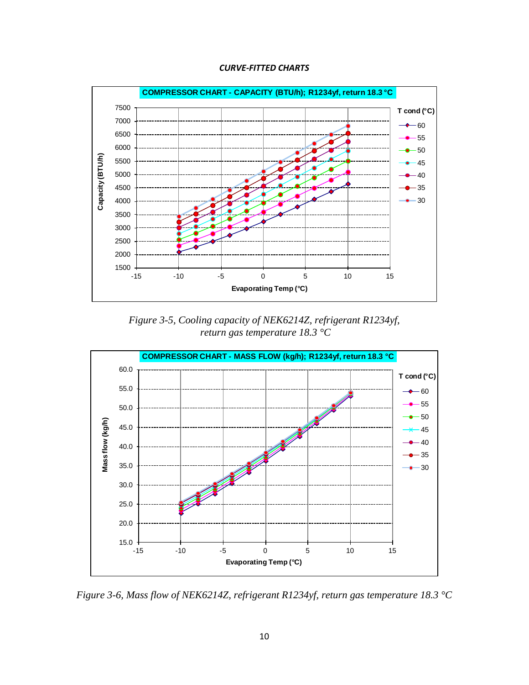![](_page_10_Figure_0.jpeg)

![](_page_10_Figure_1.jpeg)

*Figure 3-5, Cooling capacity of NEK6214Z, refrigerant R1234yf, return gas temperature 18.3 °C*

![](_page_10_Figure_3.jpeg)

*Figure 3-6, Mass flow of NEK6214Z, refrigerant R1234yf, return gas temperature 18.3 °C*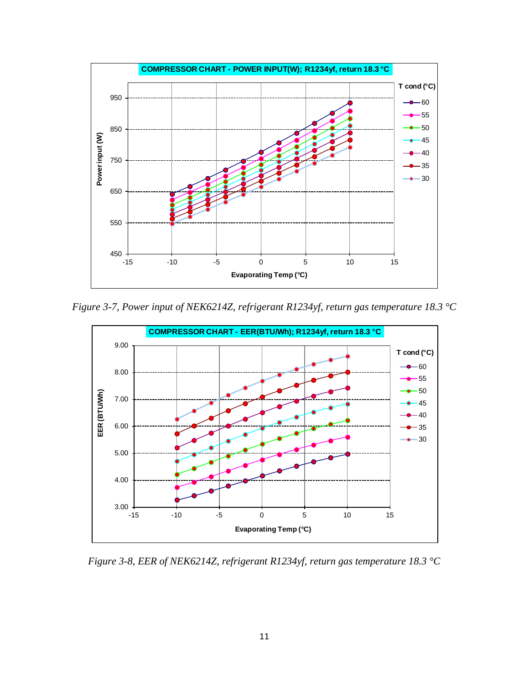![](_page_11_Figure_0.jpeg)

*Figure 3-7, Power input of NEK6214Z, refrigerant R1234yf, return gas temperature 18.3 °C*

![](_page_11_Figure_2.jpeg)

*Figure 3-8, EER of NEK6214Z, refrigerant R1234yf, return gas temperature 18.3 °C*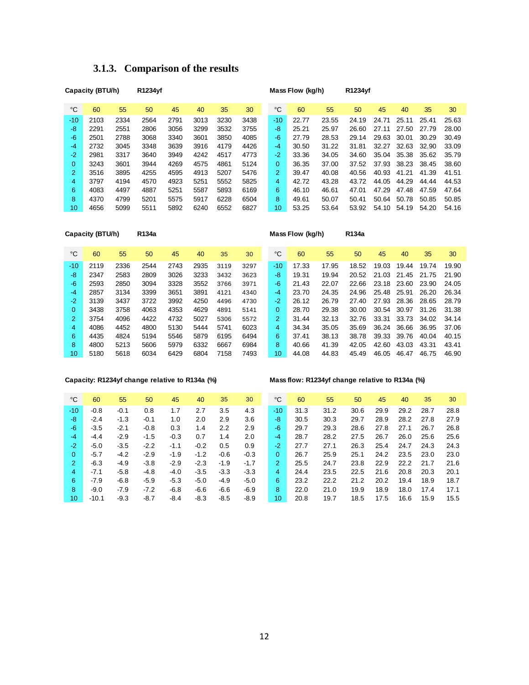| 3.1.3. Comparison of the results |  |
|----------------------------------|--|
|----------------------------------|--|

|                | Capacity (BTU/h) |      | R1234yf |      |      |      |      |                 | Mass Flow (kg/h) |       | R1234yf |       |       |       |       |
|----------------|------------------|------|---------|------|------|------|------|-----------------|------------------|-------|---------|-------|-------|-------|-------|
| °C             | 60               | 55   | 50      | 45   | 40   | 35   | 30   | °C              | 60               | 55    | 50      | 45    | 40    | 35    | 30    |
| $-10$          | 2103             | 2334 | 2564    | 2791 | 3013 | 3230 | 3438 | $-10$           | 22.77            | 23.55 | 24.19   | 24.71 | 25.11 | 25.41 | 25.63 |
| -8             | 2291             | 2551 | 2806    | 3056 | 3299 | 3532 | 3755 | -8              | 25.21            | 25.97 | 26.60   | 27.11 | 27.50 | 27.79 | 28.00 |
| $-6$           | 2501             | 2788 | 3068    | 3340 | 3601 | 3850 | 4085 | -6              | 27.79            | 28.53 | 29.14   | 29.63 | 30.01 | 30.29 | 30.49 |
| $-4$           | 2732             | 3045 | 3348    | 3639 | 3916 | 4179 | 4426 | $-4$            | 30.50            | 31.22 | 31.81   | 32.27 | 32.63 | 32.90 | 33.09 |
| $-2$           | 2981             | 3317 | 3640    | 3949 | 4242 | 4517 | 4773 | $-2$            | 33.36            | 34.05 | 34.60   | 35.04 | 35.38 | 35.62 | 35.79 |
| 0              | 3243             | 3601 | 3944    | 4269 | 4575 | 4861 | 5124 | 0               | 36.35            | 37.00 | 37.52   | 37.93 | 38.23 | 38.45 | 38.60 |
| $\overline{2}$ | 3516             | 3895 | 4255    | 4595 | 4913 | 5207 | 5476 | $\overline{2}$  | 39.47            | 40.08 | 40.56   | 40.93 | 41.21 | 41.39 | 41.51 |
| 4              | 3797             | 4194 | 4570    | 4923 | 5251 | 5552 | 5825 | $\overline{4}$  | 42.72            | 43.28 | 43.72   | 44.05 | 44.29 | 44.44 | 44.53 |
| 6              | 4083             | 4497 | 4887    | 5251 | 5587 | 5893 | 6169 | 6               | 46.10            | 46.61 | 47.01   | 47.29 | 47.48 | 47.59 | 47.64 |
| 8              | 4370             | 4799 | 5201    | 5575 | 5917 | 6228 | 6504 | 8               | 49.61            | 50.07 | 50.41   | 50.64 | 50.78 | 50.85 | 50.85 |
| 10             | 4656             | 5099 | 5511    | 5892 | 6240 | 6552 | 6827 | 10 <sup>1</sup> | 53.25            | 53.64 | 53.92   | 54.10 | 54.19 | 54.20 | 54.16 |

| Capacity (BTU/h) |      | R134a |      |      |      |      | Mass Flow (kg/h) |                |       | R134a |       |       |       |       |       |
|------------------|------|-------|------|------|------|------|------------------|----------------|-------|-------|-------|-------|-------|-------|-------|
| °C               | 60   | 55    | 50   | 45   | 40   | 35   | 30               | °C             | 60    | 55    | 50    | 45    | 40    | 35    | 30    |
| $-10$            | 2119 | 2336  | 2544 | 2743 | 2935 | 3119 | 3297             | $-10$          | 17.33 | 17.95 | 18.52 | 19.03 | 19.44 | 19.74 | 19.90 |
| -8               | 2347 | 2583  | 2809 | 3026 | 3233 | 3432 | 3623             | -8             | 19.31 | 19.94 | 20.52 | 21.03 | 21.45 | 21.75 | 21.90 |
| $-6$             | 2593 | 2850  | 3094 | 3328 | 3552 | 3766 | 3971             | $-6$           | 21.43 | 22.07 | 22.66 | 23.18 | 23.60 | 23.90 | 24.05 |
| $-4$             | 2857 | 3134  | 3399 | 3651 | 3891 | 4121 | 4340             | $-4$           | 23.70 | 24.35 | 24.96 | 25.48 | 25.91 | 26.20 | 26.34 |
| $-2$             | 3139 | 3437  | 3722 | 3992 | 4250 | 4496 | 4730             | $-2$           | 26.12 | 26.79 | 27.40 | 27.93 | 28.36 | 28.65 | 28.79 |
| $\Omega$         | 3438 | 3758  | 4063 | 4353 | 4629 | 4891 | 5141             | 0              | 28.70 | 29.38 | 30.00 | 30.54 | 30.97 | 31.26 | 31.38 |
| 2                | 3754 | 4096  | 4422 | 4732 | 5027 | 5306 | 5572             | $\overline{2}$ | 31.44 | 32.13 | 32.76 | 33.31 | 33.73 | 34.02 | 34.14 |
| 4                | 4086 | 4452  | 4800 | 5130 | 5444 | 5741 | 6023             | 4              | 34.34 | 35.05 | 35.69 | 36.24 | 36.66 | 36.95 | 37.06 |
| 6                | 4435 | 4824  | 5194 | 5546 | 5879 | 6195 | 6494             | 6              | 37.41 | 38.13 | 38.78 | 39.33 | 39.76 | 40.04 | 40.15 |
| 8                | 4800 | 5213  | 5606 | 5979 | 6332 | 6667 | 6984             | 8              | 40.66 | 41.39 | 42.05 | 42.60 | 43.03 | 43.31 | 43.41 |
| 10               | 5180 | 5618  | 6034 | 6429 | 6804 | 7158 | 7493             | 10             | 44.08 | 44.83 | 45.49 | 46.05 | 46.47 | 46.75 | 46.90 |

**Capacity: R1234yf change relative to R134a (%) Mass flow: R1234yf change relative to R134a (%)**

| °C       | 60      | 55     | 50     | 45     | 40     | 35     | 30     | ℃                    | 60   | 55   | 50   | 45   | 40   | 35   | 30   |
|----------|---------|--------|--------|--------|--------|--------|--------|----------------------|------|------|------|------|------|------|------|
| $-10$    | $-0.8$  | $-0.1$ | 0.8    | 1.7    | 2.7    | 3.5    | 4.3    | $-10$                | 31.3 | 31.2 | 30.6 | 29.9 | 29.2 | 28.7 | 28.8 |
| -8       | $-2.4$  | $-1.3$ | $-0.1$ | 1.0    | 2.0    | 2.9    | 3.6    | -8                   | 30.5 | 30.3 | 29.7 | 28.9 | 28.2 | 27.8 | 27.9 |
| -6       | $-3.5$  | $-2.1$ | $-0.8$ | 0.3    | 1.4    | 2.2    | 2.9    | -6                   | 29.7 | 29.3 | 28.6 | 27.8 | 27.1 | 26.7 | 26.8 |
| $-4$     | $-4.4$  | $-2.9$ | $-1.5$ | $-0.3$ | 0.7    | 1.4    | 2.0    | -4                   | 28.7 | 28.2 | 27.5 | 26.7 | 26.0 | 25.6 | 25.6 |
| $-2$     | $-5.0$  | $-3.5$ | $-2.2$ | $-1.1$ | $-0.2$ | 0.5    | 0.9    | -2                   | 27.7 | 27.1 | 26.3 | 25.4 | 24.7 | 24.3 | 24.3 |
| $\Omega$ | $-5.7$  | $-4.2$ | $-2.9$ | $-1.9$ | $-1.2$ | $-0.6$ | $-0.3$ | $\Omega$             | 26.7 | 25.9 | 25.1 | 24.2 | 23.5 | 23.0 | 23.0 |
| 2        | $-6.3$  | $-4.9$ | $-3.8$ | $-2.9$ | $-2.3$ | $-1.9$ | $-1.7$ | $\mathbf{2}^{\circ}$ | 25.5 | 24.7 | 23.8 | 22.9 | 22.2 | 21.7 | 21.6 |
| 4        | $-7.1$  | $-5.8$ | $-4.8$ | $-4.0$ | $-3.5$ | $-3.3$ | $-3.3$ | 4                    | 24.4 | 23.5 | 22.5 | 21.6 | 20.8 | 20.3 | 20.1 |
| 6        | $-7.9$  | $-6.8$ | $-5.9$ | $-5.3$ | $-5.0$ | $-4.9$ | $-5.0$ | 6                    | 23.2 | 22.2 | 21.2 | 20.2 | 19.4 | 18.9 | 18.7 |
| 8        | $-9.0$  | $-7.9$ | $-7.2$ | $-6.8$ | $-6.6$ | $-6.6$ | $-6.9$ | 8                    | 22.0 | 21.0 | 19.9 | 18.9 | 18.0 | 17.4 | 17.1 |
| 10       | $-10.1$ | $-9.3$ | $-8.7$ | $-8.4$ | $-8.3$ | $-8.5$ | $-8.9$ | 10 <sup>1</sup>      | 20.8 | 19.7 | 18.5 | 17.5 | 16.6 | 15.9 | 15.5 |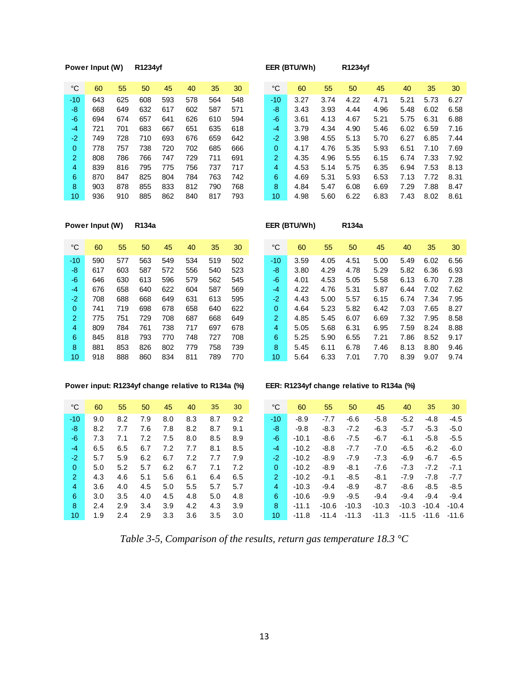### **Power Input (W) R1234yf EER (BTU/Wh) R1234yf**

| °C             | 60  | 55  | 50  | 45  | 40  | 35  | 30  | °C            | 60   | 55   | 50   | 45   | 40   | 35   | 30   |
|----------------|-----|-----|-----|-----|-----|-----|-----|---------------|------|------|------|------|------|------|------|
| -10            | 643 | 625 | 608 | 593 | 578 | 564 | 548 | -10           | 3.27 | 3.74 | 4.22 | 4.71 | 5.21 | 5.73 | 6.27 |
| -8             | 668 | 649 | 632 | 617 | 602 | 587 | 571 | -8            | 3.43 | 3.93 | 4.44 | 4.96 | 5.48 | 6.02 | 6.58 |
| -6             | 694 | 674 | 657 | 641 | 626 | 610 | 594 | -6            | 3.61 | 4.13 | 4.67 | 5.21 | 5.75 | 6.31 | 6.88 |
| $-4$           | 721 | 701 | 683 | 667 | 651 | 635 | 618 | -4            | 3.79 | 4.34 | 4.90 | 5.46 | 6.02 | 6.59 | 7.16 |
| $-2$           | 749 | 728 | 710 | 693 | 676 | 659 | 642 | -2            | 3.98 | 4.55 | 5.13 | 5.70 | 6.27 | 6.85 | 7.44 |
| $\Omega$       | 778 | 757 | 738 | 720 | 702 | 685 | 666 | 0             | 4.17 | 4.76 | 5.35 | 5.93 | 6.51 | 7.10 | 7.69 |
| -2             | 808 | 786 | 766 | 747 | 729 | 711 | 691 | $\mathcal{P}$ | 4.35 | 4.96 | 5.55 | 6.15 | 6.74 | 7.33 | 7.92 |
| $\overline{4}$ | 839 | 816 | 795 | 775 | 756 | 737 | 717 | 4             | 4.53 | 5.14 | 5.75 | 6.35 | 6.94 | 7.53 | 8.13 |
| 6              | 870 | 847 | 825 | 804 | 784 | 763 | 742 | 6             | 4.69 | 5.31 | 5.93 | 6.53 | 7.13 | 7.72 | 8.31 |
| 8              | 903 | 878 | 855 | 833 | 812 | 790 | 768 | 8             | 4.84 | 5.47 | 6.08 | 6.69 | 7.29 | 7.88 | 8.47 |
| 10             | 936 | 910 | 885 | 862 | 840 | 817 | 793 | 10            | 4.98 | 5.60 | 6.22 | 6.83 | 7.43 | 8.02 | 8.61 |

**Power Input (W) R134a EER (BTU/Wh) R134a**

| °C             | 60  | 55  | 50  | 45  | 40  | 35  | 30  | °C             | 60   | 55   | 50   | 45   | 40   | 35   | 30   |
|----------------|-----|-----|-----|-----|-----|-----|-----|----------------|------|------|------|------|------|------|------|
| $-10$          | 590 | 577 | 563 | 549 | 534 | 519 | 502 | -10            | 3.59 | 4.05 | 4.51 | 5.00 | 5.49 | 6.02 | 6.56 |
| -8             | 617 | 603 | 587 | 572 | 556 | 540 | 523 | -8             | 3.80 | 4.29 | 4.78 | 5.29 | 5.82 | 6.36 | 6.93 |
| -6             | 646 | 630 | 613 | 596 | 579 | 562 | 545 | -6             | 4.01 | 4.53 | 5.05 | 5.58 | 6.13 | 6.70 | 7.28 |
| $-4$           | 676 | 658 | 640 | 622 | 604 | 587 | 569 | -4             | 4.22 | 4.76 | 5.31 | 5.87 | 6.44 | 7.02 | 7.62 |
| $-2$           | 708 | 688 | 668 | 649 | 631 | 613 | 595 | -2.            | 4.43 | 5.00 | 5.57 | 6.15 | 6.74 | 7.34 | 7.95 |
| 0              | 741 | 719 | 698 | 678 | 658 | 640 | 622 | 0              | 4.64 | 5.23 | 5.82 | 6.42 | 7.03 | 7.65 | 8.27 |
| $\overline{2}$ | 775 | 751 | 729 | 708 | 687 | 668 | 649 | $\overline{2}$ | 4.85 | 5.45 | 6.07 | 6.69 | 7.32 | 7.95 | 8.58 |
| 4              | 809 | 784 | 761 | 738 | 717 | 697 | 678 | 4              | 5.05 | 5.68 | 6.31 | 6.95 | 7.59 | 8.24 | 8.88 |
| 6              | 845 | 818 | 793 | 770 | 748 | 727 | 708 | 6              | 5.25 | 5.90 | 6.55 | 7.21 | 7.86 | 8.52 | 9.17 |
| 8              | 881 | 853 | 826 | 802 | 779 | 758 | 739 | 8              | 5.45 | 6.11 | 6.78 | 7.46 | 8.13 | 8.80 | 9.46 |
| 10             | 918 | 888 | 860 | 834 | 811 | 789 | 770 | 10             | 5.64 | 6.33 | 7.01 | 7.70 | 8.39 | 9.07 | 9.74 |

### **Power input: R1234yf change relative to R134a (%) EER: R1234yf change relative to R134a (%)**

| °C             | 60  | 55  | 50  | 45  | 40  | 35  | 30  |
|----------------|-----|-----|-----|-----|-----|-----|-----|
| $-10$          | 9.0 | 8.2 | 7.9 | 8.0 | 8.3 | 8.7 | 9.2 |
| -8             | 8.2 | 7.7 | 7.6 | 7.8 | 8.2 | 8.7 | 9.1 |
| -6             | 7.3 | 7.1 | 7.2 | 7.5 | 8.0 | 8.5 | 8.9 |
| $-4$           | 6.5 | 6.5 | 6.7 | 7.2 | 7.7 | 8.1 | 8.5 |
| $-2$           | 5.7 | 5.9 | 6.2 | 6.7 | 7.2 | 7.7 | 7.9 |
| 0              | 5.0 | 5.2 | 5.7 | 6.2 | 6.7 | 7.1 | 7.2 |
| $\overline{2}$ | 4.3 | 4.6 | 5.1 | 5.6 | 6.1 | 6.4 | 6.5 |
| 4              | 3.6 | 4.0 | 4.5 | 5.0 | 5.5 | 5.7 | 5.7 |
| 6              | 3.0 | 3.5 | 4.0 | 4.5 | 4.8 | 5.0 | 4.8 |
| 8              | 2.4 | 2.9 | 3.4 | 3.9 | 4.2 | 4.3 | 3.9 |
| 10             | 19  | 24  | 29  | 33  | 36  | 3.5 | 3 O |

| ℃               | 60  | 55  | 50  | 45  | 40  | 35  | 30  | °C            | 60      | 55      | 50      | 45      | 40      | 35      | 30      |
|-----------------|-----|-----|-----|-----|-----|-----|-----|---------------|---------|---------|---------|---------|---------|---------|---------|
| -10             | 9.0 | 8.2 | 7.9 | 8.0 | 8.3 | 8.7 | 9.2 | $-10$         | $-8.9$  | $-7.7$  | $-6.6$  | $-5.8$  | $-5.2$  | $-4.8$  | $-4.5$  |
| -8              | 8.2 | 7.7 | 7.6 | 7.8 | 8.2 | 8.7 | 9.1 | -8            | $-9.8$  | $-8.3$  | $-7.2$  | $-6.3$  | $-5.7$  | $-5.3$  | $-5.0$  |
| -6              | 7.3 | 7.1 | 7.2 | 7.5 | 8.0 | 8.5 | 8.9 | -6            | $-10.1$ | $-8.6$  | $-7.5$  | $-6.7$  | $-6.1$  | $-5.8$  | $-5.5$  |
| $-4$            | 6.5 | 6.5 | 6.7 | 7.2 | 7.7 | 8.1 | 8.5 | $-4$          | $-10.2$ | $-8.8$  | $-7.7$  | $-7.0$  | $-6.5$  | $-6.2$  | $-6.0$  |
| $-2$            | 5.7 | 5.9 | 6.2 | 6.7 | 7.2 | 7.7 | 7.9 | $-2$          | $-10.2$ | $-8.9$  | $-7.9$  | $-7.3$  | $-6.9$  | $-6.7$  | $-6.5$  |
| $\mathbf{0}$    | 5.0 | 5.2 | 5.7 | 6.2 | 6.7 | 7.1 | 7.2 | 0             | $-10.2$ | -8.9    | $-8.1$  | -7.6    | $-7.3$  | $-7.2$  | $-7.1$  |
| $\overline{2}$  | 4.3 | 4.6 | 5.1 | 5.6 | 6.1 | 6.4 | 6.5 | $\mathcal{P}$ | $-10.2$ | $-9.1$  | $-8.5$  | $-8.1$  | $-7.9$  | $-7.8$  | $-7.7$  |
| $\overline{4}$  | 3.6 | 4.0 | 4.5 | 5.0 | 5.5 | 5.7 | 5.7 | 4             | $-10.3$ | $-9.4$  | $-8.9$  | $-8.7$  | $-8.6$  | $-8.5$  | $-8.5$  |
| 6               | 3.0 | 3.5 | 4.0 | 4.5 | 4.8 | 5.0 | 4.8 | 6             | $-10.6$ | $-9.9$  | $-9.5$  | $-9.4$  | $-9.4$  | $-9.4$  | $-9.4$  |
| 8               | 2.4 | 2.9 | 3.4 | 3.9 | 4.2 | 4.3 | 3.9 | 8             | $-11.1$ | $-10.6$ | $-10.3$ | $-10.3$ | $-10.3$ | $-10.4$ | $-10.4$ |
| 10 <sup>°</sup> | 1.9 | 2.4 | 2.9 | 3.3 | 3.6 | 3.5 | 3.0 | 10            | $-11.8$ | $-11.4$ | $-11.3$ | $-11.3$ | -11.5   | -11.6   | $-11.6$ |

*Table 3-5, Comparison of the results, return gas temperature 18.3 °C*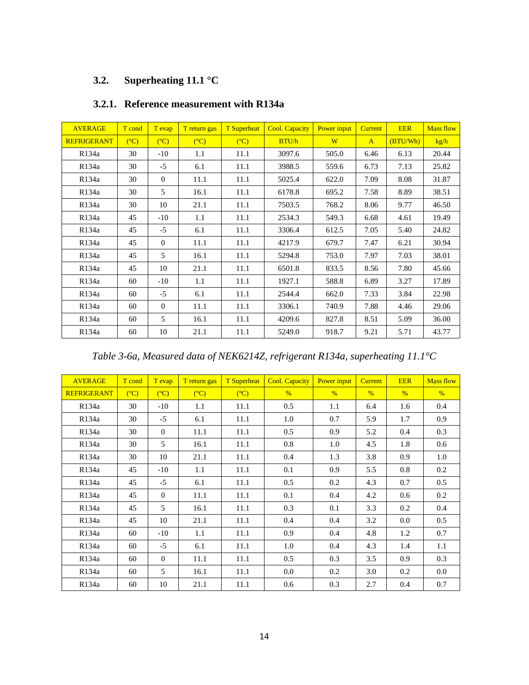## **3.2. Superheating 11.1 °C**

| <b>AVERAGE</b>     | T cond | T evap       | T return gas   | <b>T</b> Superheat | <b>Cool. Capacity</b> | Power input | <b>Current</b> | <b>EER</b> | <b>Mass flow</b> |
|--------------------|--------|--------------|----------------|--------------------|-----------------------|-------------|----------------|------------|------------------|
| <b>REFRIGERANT</b> | (C)    | (C)          | $(C^{\circ}C)$ | $(C^{\circ}C)$     | BTU/h                 | W           | $\mathbf{A}$   | (BTU/Wh)   | kg/h             |
| R134a              | 30     | $-10$        | 1.1            | 11.1               | 3097.6                | 505.0       | 6.46           | 6.13       | 20.44            |
| R134a              | 30     | $-5$         | 6.1            | 11.1               | 3988.5                | 559.6       | 6.73           | 7.13       | 25.82            |
| R134a              | 30     | $\mathbf{0}$ | 11.1           | 11.1               | 5025.4                | 622.0       | 7.09           | 8.08       | 31.87            |
| R134a              | 30     | 5            | 16.1           | 11.1               | 6178.8                | 695.2       | 7.58           | 8.89       | 38.51            |
| R134a              | 30     | 10           | 21.1           | 11.1               | 7503.5                | 768.2       | 8.06           | 9.77       | 46.50            |
| R <sub>134</sub> a | 45     | $-10$        | 1.1            | 11.1               | 2534.3                | 549.3       | 6.68           | 4.61       | 19.49            |
| R134a              | 45     | $-5$         | 6.1            | 11.1               | 3306.4                | 612.5       | 7.05           | 5.40       | 24.82            |
| R134a              | 45     | $\Omega$     | 11.1           | 11.1               | 4217.9                | 679.7       | 7.47           | 6.21       | 30.94            |
| R134a              | 45     | 5            | 16.1           | 11.1               | 5294.8                | 753.0       | 7.97           | 7.03       | 38.01            |
| R134a              | 45     | 10           | 21.1           | 11.1               | 6501.8                | 833.5       | 8.56           | 7.80       | 45.66            |
| R134a              | 60     | $-10$        | 1.1            | 11.1               | 1927.1                | 588.8       | 6.89           | 3.27       | 17.89            |
| R134a              | 60     | $-5$         | 6.1            | 11.1               | 2544.4                | 662.0       | 7.33           | 3.84       | 22.98            |
| R134a              | 60     | $\Omega$     | 11.1           | 11.1               | 3306.1                | 740.9       | 7.88           | 4.46       | 29.06            |
| R <sub>134</sub> a | 60     | 5            | 16.1           | 11.1               | 4209.6                | 827.8       | 8.51           | 5.09       | 36.00            |
| R134a              | 60     | 10           | 21.1           | 11.1               | 5249.0                | 918.7       | 9.21           | 5.71       | 43.77            |

## **3.2.1. Reference measurement with R134a**

*Table 3-6a, Measured data of NEK6214Z, refrigerant R134a, superheating 11.1°C*

| <b>AVERAGE</b>     | T cond         | T evap         | T return gas | <b>T</b> Superheat | <b>Cool. Capacity</b> | Power input   | <b>Current</b> | <b>EER</b>    | <b>Mass flow</b> |
|--------------------|----------------|----------------|--------------|--------------------|-----------------------|---------------|----------------|---------------|------------------|
| <b>REFRIGERANT</b> | $(C^{\circ}C)$ | $(C^{\circ}C)$ | (C)          | $(C^{\circ}C)$     | $\frac{9}{6}$         | $\frac{0}{6}$ | $\%$           | $\frac{9}{6}$ | $\%$             |
| R134a              | 30             | $-10$          | 1.1          | 11.1               | 0.5                   | 1.1           | 6.4            | 1.6           | 0.4              |
| R134a              | 30             | $-5$           | 6.1          | 11.1               | 1.0                   | 0.7           | 5.9            | 1.7           | 0.9              |
| R134a              | 30             | $\mathbf{0}$   | 11.1         | 11.1               | 0.5                   | 0.9           | 5.2            | 0.4           | 0.3              |
| R <sub>134</sub> a | 30             | 5              | 16.1         | 11.1               | 0.8                   | 1.0           | 4.5            | 1.8           | 0.6              |
| R134a              | 30             | 10             | 21.1         | 11.1               | 0.4                   | 1.3           | 3.8            | 0.9           | 1.0              |
| R134a              | 45             | $-10$          | 1.1          | 11.1               | 0.1                   | 0.9           | 5.5            | 0.8           | 0.2              |
| R134a              | 45             | $-5$           | 6.1          | 11.1               | 0.5                   | 0.2           | 4.3            | 0.7           | 0.5              |
| R134a              | 45             | $\Omega$       | 11.1         | 11.1               | 0.1                   | 0.4           | 4.2            | 0.6           | 0.2              |
| R134a              | 45             | 5              | 16.1         | 11.1               | 0.3                   | 0.1           | 3.3            | 0.2           | 0.4              |
| R134a              | 45             | 10             | 21.1         | 11.1               | 0.4                   | 0.4           | 3.2            | 0.0           | 0.5              |
| R134a              | 60             | $-10$          | 1.1          | 11.1               | 0.9                   | 0.4           | 4.8            | 1.2           | 0.7              |
| R134a              | 60             | $-5$           | 6.1          | 11.1               | 1.0                   | 0.4           | 4.3            | 1.4           | 1.1              |
| R134a              | 60             | $\Omega$       | 11.1         | 11.1               | 0.5                   | 0.3           | 3.5            | 0.9           | 0.3              |
| R <sub>134</sub> a | 60             | 5              | 16.1         | 11.1               | 0.0                   | 0.2           | 3.0            | 0.2           | $0.0\,$          |
| R134a              | 60             | 10             | 21.1         | 11.1               | 0.6                   | 0.3           | 2.7            | 0.4           | 0.7              |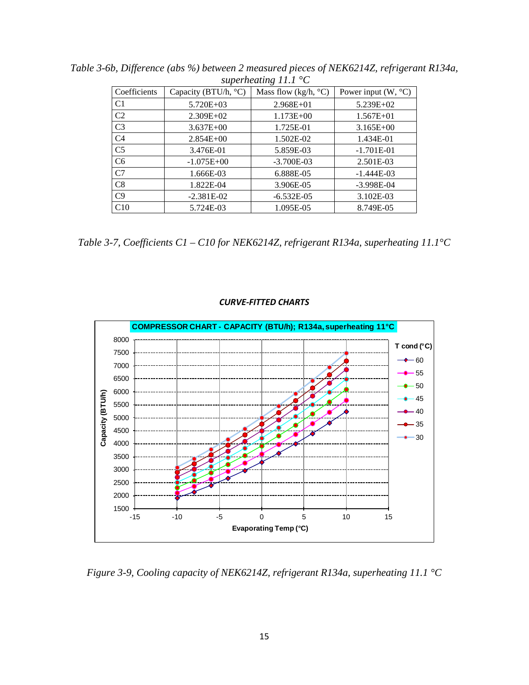| $superneating 11.1 \, \text{C}$ |                                |                               |                                |  |  |  |  |  |  |  |
|---------------------------------|--------------------------------|-------------------------------|--------------------------------|--|--|--|--|--|--|--|
| Coefficients                    | Capacity (BTU/h, $^{\circ}$ C) | Mass flow (kg/h, $\degree$ C) | Power input $(W, {}^{\circ}C)$ |  |  |  |  |  |  |  |
| C <sub>1</sub>                  | $5.720E + 03$                  | $2.968E + 01$                 | $5.239E+02$                    |  |  |  |  |  |  |  |
| C <sub>2</sub>                  | $2.309E+02$                    | $1.173E + 00$                 | $1.567E + 01$                  |  |  |  |  |  |  |  |
| C <sub>3</sub>                  | $3.637E + 00$                  | 1.725E-01                     | $3.165E + 00$                  |  |  |  |  |  |  |  |
| C <sub>4</sub>                  | $2.854E + 00$                  | 1.502E-02                     | 1.434E-01                      |  |  |  |  |  |  |  |
| C <sub>5</sub>                  | 3.476E-01                      | 5.859E-03                     | $-1.701E-01$                   |  |  |  |  |  |  |  |
| C <sub>6</sub>                  | $-1.075E+00$                   | $-3.700E-03$                  | 2.501E-03                      |  |  |  |  |  |  |  |
| C <sub>7</sub>                  | 1.666E-03                      | 6.888E-05                     | $-1.444E-03$                   |  |  |  |  |  |  |  |
| C8                              | 1.822E-04                      | 3.906E-05                     | $-3.998E - 04$                 |  |  |  |  |  |  |  |
| C9                              | $-2.381E-02$                   | $-6.532E-05$                  | 3.102E-03                      |  |  |  |  |  |  |  |
| C10                             | 5.724E-03                      | 1.095E-05                     | 8.749E-05                      |  |  |  |  |  |  |  |

*Table 3-6b, Difference (abs %) between 2 measured pieces of NEK6214Z, refrigerant R134a, superheating 11.1 °C*

*Table 3-7, Coefficients C1 – C10 for NEK6214Z, refrigerant R134a, superheating 11.1°C*

![](_page_15_Figure_3.jpeg)

### *CURVE-FITTED CHARTS*

*Figure 3-9, Cooling capacity of NEK6214Z, refrigerant R134a, superheating 11.1 °C*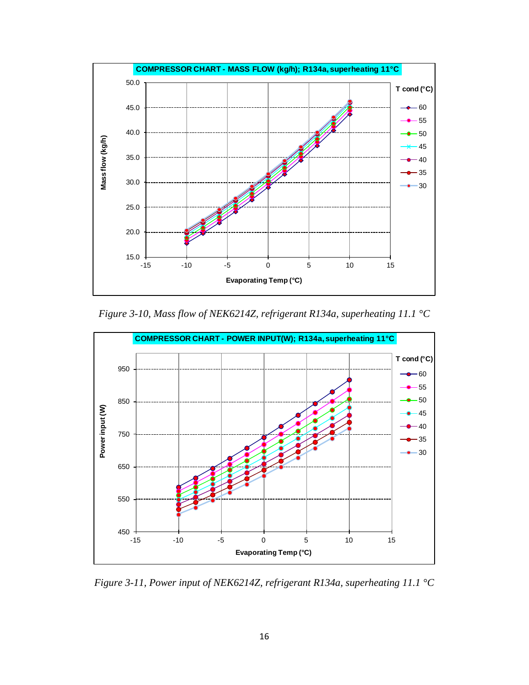![](_page_16_Figure_0.jpeg)

*Figure 3-10, Mass flow of NEK6214Z, refrigerant R134a, superheating 11.1 °C*

![](_page_16_Figure_2.jpeg)

*Figure 3-11, Power input of NEK6214Z, refrigerant R134a, superheating 11.1 °C*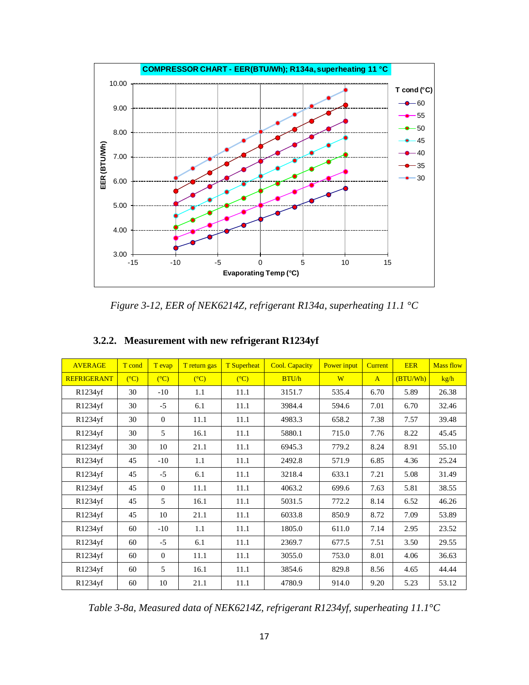![](_page_17_Figure_0.jpeg)

*Figure 3-12, EER of NEK6214Z, refrigerant R134a, superheating 11.1 °C*

| <b>AVERAGE</b>     | T cond         | T evap         | T return gas   | <b>T</b> Superheat | <b>Cool. Capacity</b> | Power input | <b>Current</b> | <b>EER</b> | <b>Mass flow</b> |
|--------------------|----------------|----------------|----------------|--------------------|-----------------------|-------------|----------------|------------|------------------|
| <b>REFRIGERANT</b> | $(C^{\circ}C)$ | $(C^{\circ}C)$ | $(C^{\circ}C)$ | $(C^{\circ}C)$     | BTU/h                 | W           | $\mathbf{A}$   | (BTU/Wh)   | kg/h             |
| R1234yf            | 30             | $-10$          | 1.1            | 11.1               | 3151.7                | 535.4       | 6.70           | 5.89       | 26.38            |
| R1234yf            | 30             | $-5$           | 6.1            | 11.1               | 3984.4                | 594.6       | 7.01           | 6.70       | 32.46            |
| R1234yf            | 30             | $\Omega$       | 11.1           | 11.1               | 4983.3                | 658.2       | 7.38           | 7.57       | 39.48            |
| R1234yf            | 30             | 5              | 16.1           | 11.1               | 5880.1                | 715.0       | 7.76           | 8.22       | 45.45            |
| R1234yf            | 30             | 10             | 21.1           | 11.1               | 6945.3                | 779.2       | 8.24           | 8.91       | 55.10            |
| R1234yf            | 45             | $-10$          | 1.1            | 11.1               | 2492.8                | 571.9       | 6.85           | 4.36       | 25.24            |
| R1234yf            | 45             | $-5$           | 6.1            | 11.1               | 3218.4                | 633.1       | 7.21           | 5.08       | 31.49            |
| R1234yf            | 45             | $\Omega$       | 11.1           | 11.1               | 4063.2                | 699.6       | 7.63           | 5.81       | 38.55            |
| R1234yf            | 45             | 5              | 16.1           | 11.1               | 5031.5                | 772.2       | 8.14           | 6.52       | 46.26            |
| R1234yf            | 45             | 10             | 21.1           | 11.1               | 6033.8                | 850.9       | 8.72           | 7.09       | 53.89            |
| R1234yf            | 60             | $-10$          | 1.1            | 11.1               | 1805.0                | 611.0       | 7.14           | 2.95       | 23.52            |
| R1234yf            | 60             | $-5$           | 6.1            | 11.1               | 2369.7                | 677.5       | 7.51           | 3.50       | 29.55            |
| R1234yf            | 60             | $\Omega$       | 11.1           | 11.1               | 3055.0                | 753.0       | 8.01           | 4.06       | 36.63            |
| R1234yf            | 60             | 5              | 16.1           | 11.1               | 3854.6                | 829.8       | 8.56           | 4.65       | 44.44            |
| R1234yf            | 60             | 10             | 21.1           | 11.1               | 4780.9                | 914.0       | 9.20           | 5.23       | 53.12            |

## **3.2.2. Measurement with new refrigerant R1234yf**

*Table 3-8a, Measured data of NEK6214Z, refrigerant R1234yf, superheating 11.1°C*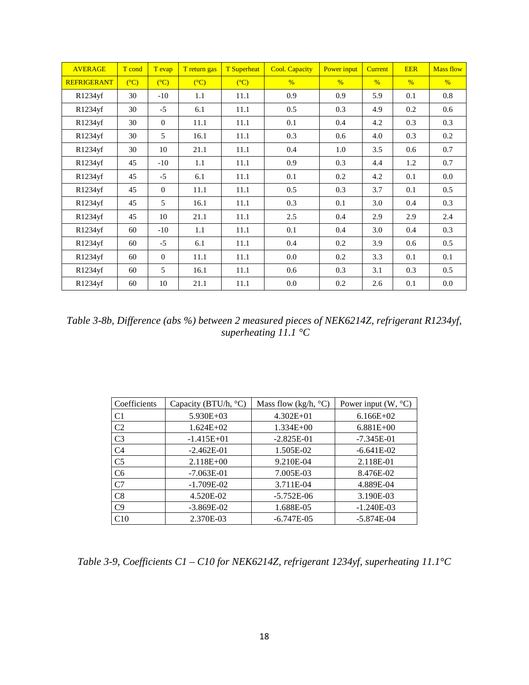| <b>AVERAGE</b>     | T cond | T evap         | T return gas   | <b>T</b> Superheat | <b>Cool. Capacity</b> | Power input   | <b>Current</b> | <b>EER</b>    | <b>Mass flow</b> |
|--------------------|--------|----------------|----------------|--------------------|-----------------------|---------------|----------------|---------------|------------------|
| <b>REFRIGERANT</b> | (C)    | $(C^{\circ}C)$ | $(C^{\circ}C)$ | $(C^{\circ}C)$     | $\frac{0}{6}$         | $\frac{9}{6}$ | $\frac{0}{6}$  | $\frac{0}{6}$ | $\frac{0}{6}$    |
| R1234yf            | 30     | $-10$          | 1.1            | 11.1               | 0.9                   | 0.9           | 5.9            | 0.1           | 0.8              |
| R1234yf            | 30     | $-5$           | 6.1            | 11.1               | 0.5                   | 0.3           | 4.9            | 0.2           | 0.6              |
| R1234yf            | 30     | $\Omega$       | 11.1           | 11.1               | 0.1                   | 0.4           | 4.2            | 0.3           | 0.3              |
| R1234yf            | 30     | 5              | 16.1           | 11.1               | 0.3                   | 0.6           | 4.0            | 0.3           | 0.2              |
| R1234yf            | 30     | 10             | 21.1           | 11.1               | 0.4                   | 1.0           | 3.5            | 0.6           | 0.7              |
| R1234yf            | 45     | $-10$          | 1.1            | 11.1               | 0.9                   | 0.3           | 4.4            | 1.2           | 0.7              |
| R1234yf            | 45     | $-5$           | 6.1            | 11.1               | 0.1                   | 0.2           | 4.2            | 0.1           | 0.0              |
| R1234yf            | 45     | $\Omega$       | 11.1           | 11.1               | 0.5                   | 0.3           | 3.7            | 0.1           | 0.5              |
| R1234yf            | 45     | 5              | 16.1           | 11.1               | 0.3                   | 0.1           | 3.0            | 0.4           | 0.3              |
| R1234yf            | 45     | 10             | 21.1           | 11.1               | 2.5                   | 0.4           | 2.9            | 2.9           | 2.4              |
| R1234yf            | 60     | $-10$          | 1.1            | 11.1               | 0.1                   | 0.4           | 3.0            | 0.4           | 0.3              |
| R1234yf            | 60     | $-5$           | 6.1            | 11.1               | 0.4                   | 0.2           | 3.9            | 0.6           | 0.5              |
| R1234yf            | 60     | $\Omega$       | 11.1           | 11.1               | 0.0                   | 0.2           | 3.3            | 0.1           | 0.1              |
| R1234yf            | 60     | 5              | 16.1           | 11.1               | 0.6                   | 0.3           | 3.1            | 0.3           | 0.5              |
| R1234yf            | 60     | 10             | 21.1           | 11.1               | 0.0                   | 0.2           | 2.6            | 0.1           | 0.0              |

*Table 3-8b, Difference (abs %) between 2 measured pieces of NEK6214Z, refrigerant R1234yf, superheating 11.1 °C*

| Coefficients   | Capacity (BTU/h, °C) | Mass flow (kg/h, $\degree$ C) | Power input $(W, {}^{\circ}C)$ |
|----------------|----------------------|-------------------------------|--------------------------------|
| C <sub>1</sub> | $5.930E + 03$        | $4.302E + 01$                 | $6.166E+02$                    |
| C <sub>2</sub> | $1.624E + 02$        | $1.334E + 00$                 | $6.881E+00$                    |
| C <sub>3</sub> | $-1.415E+01$         | $-2.825E-01$                  | $-7.345E - 01$                 |
| C <sub>4</sub> | $-2.462E - 01$       | 1.505E-02                     | $-6.641E-02$                   |
| C <sub>5</sub> | $2.118E + 00$        | 9.210E-04                     | 2.118E-01                      |
| C <sub>6</sub> | $-7.063E-01$         | 7.005E-03                     | 8.476E-02                      |
| C7             | $-1.709E-02$         | 3.711E-04                     | 4.889E-04                      |
| C8             | 4.520E-02            | $-5.752E-06$                  | 3.190E-03                      |
| C <sub>9</sub> | $-3.869E-02$         | 1.688E-05                     | $-1.240E-03$                   |
| C10            | 2.370E-03            | $-6.747E-05$                  | $-5.874E-04$                   |

*Table 3-9, Coefficients C1 – C10 for NEK6214Z, refrigerant 1234yf, superheating 11.1°C*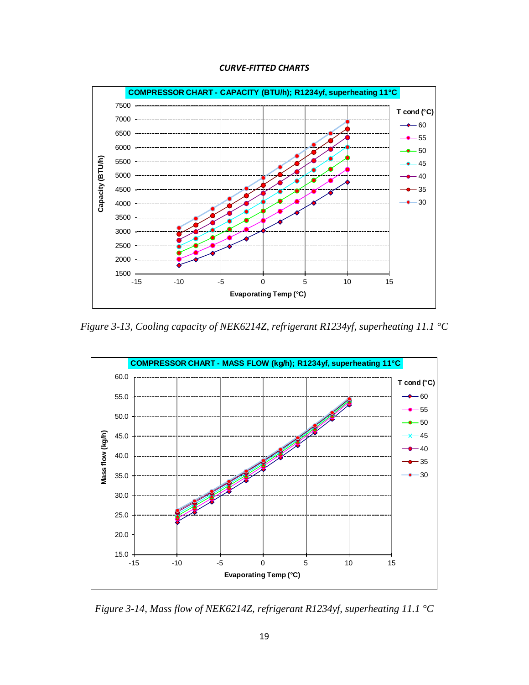![](_page_19_Figure_0.jpeg)

![](_page_19_Figure_1.jpeg)

*Figure 3-13, Cooling capacity of NEK6214Z, refrigerant R1234yf, superheating 11.1 °C*

![](_page_19_Figure_3.jpeg)

*Figure 3-14, Mass flow of NEK6214Z, refrigerant R1234yf, superheating 11.1 °C*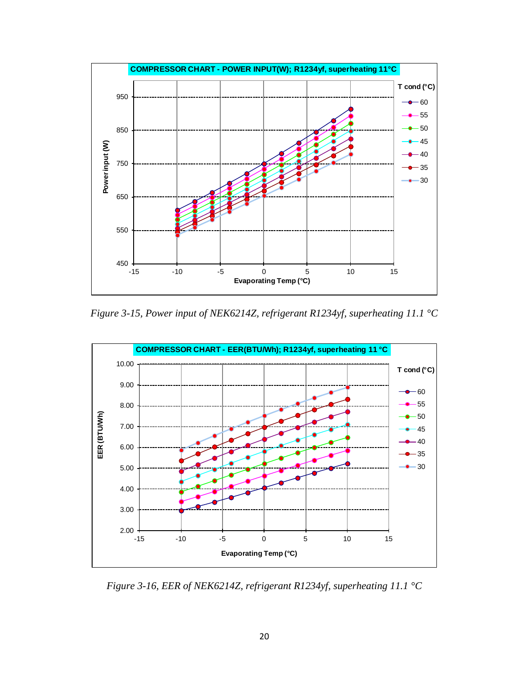![](_page_20_Figure_0.jpeg)

*Figure 3-15, Power input of NEK6214Z, refrigerant R1234yf, superheating 11.1 °C*

![](_page_20_Figure_2.jpeg)

*Figure 3-16, EER of NEK6214Z, refrigerant R1234yf, superheating 11.1 °C*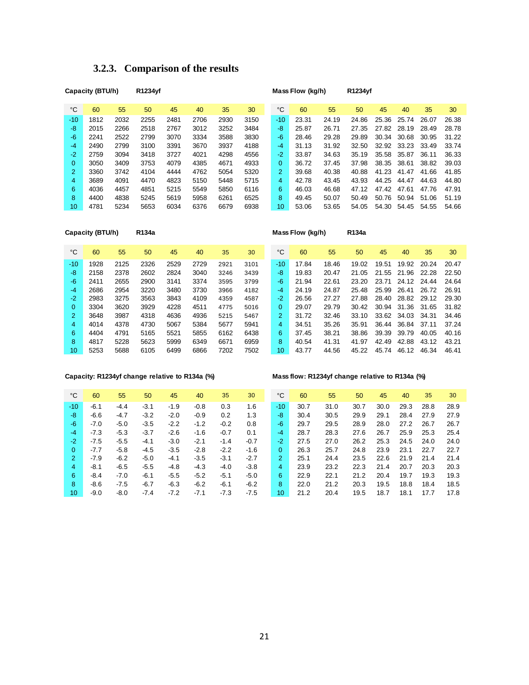|                | Capacity (BTU/h) |      | R1234yf |      |      |      |      |                | Mass Flow (kg/h) |       | R1234yf |       |       |       |       |
|----------------|------------------|------|---------|------|------|------|------|----------------|------------------|-------|---------|-------|-------|-------|-------|
| °C             | 60               | 55   | 50      | 45   | 40   | 35   | 30   | °C             | 60               | 55    | 50      | 45    | 40    | 35    | 30    |
| $-10$          | 1812             | 2032 | 2255    | 2481 | 2706 | 2930 | 3150 | $-10$          | 23.31            | 24.19 | 24.86   | 25.36 | 25.74 | 26.07 | 26.38 |
| -8             | 2015             | 2266 | 2518    | 2767 | 3012 | 3252 | 3484 | -8             | 25.87            | 26.71 | 27.35   | 27.82 | 28.19 | 28.49 | 28.78 |
| $-6$           | 2241             | 2522 | 2799    | 3070 | 3334 | 3588 | 3830 | -6             | 28.46            | 29.28 | 29.89   | 30.34 | 30.68 | 30.95 | 31.22 |
| $-4$           | 2490             | 2799 | 3100    | 3391 | 3670 | 3937 | 4188 | $-4$           | 31.13            | 31.92 | 32.50   | 32.92 | 33.23 | 33.49 | 33.74 |
| $-2$           | 2759             | 3094 | 3418    | 3727 | 4021 | 4298 | 4556 | $-2$           | 33.87            | 34.63 | 35.19   | 35.58 | 35.87 | 36.11 | 36.33 |
| 0              | 3050             | 3409 | 3753    | 4079 | 4385 | 4671 | 4933 | $\mathbf{0}$   | 36.72            | 37.45 | 37.98   | 38.35 | 38.61 | 38.82 | 39.03 |
| $\overline{2}$ | 3360             | 3742 | 4104    | 4444 | 4762 | 5054 | 5320 | $\overline{2}$ | 39.68            | 40.38 | 40.88   | 41.23 | 41.47 | 41.66 | 41.85 |
| 4              | 3689             | 4091 | 4470    | 4823 | 5150 | 5448 | 5715 | 4              | 42.78            | 43.45 | 43.93   | 44.25 | 44.47 | 44.63 | 44.80 |
| 6              | 4036             | 4457 | 4851    | 5215 | 5549 | 5850 | 6116 | 6              | 46.03            | 46.68 | 47.12   | 47.42 | 47.61 | 47.76 | 47.91 |
| 8              | 4400             | 4838 | 5245    | 5619 | 5958 | 6261 | 6525 | 8              | 49.45            | 50.07 | 50.49   | 50.76 | 50.94 | 51.06 | 51.19 |
| 10             | 4781             | 5234 | 5653    | 6034 | 6376 | 6679 | 6938 | 10             | 53.06            | 53.65 | 54.05   | 54.30 | 54.45 | 54.55 | 54.66 |

## **3.2.3. Comparison of the results**

|                | Capacity (BTU/h) |      | R134a |      |      |      |      |                | Mass Flow (kg/h) |       | R134a |       |       |       |       |
|----------------|------------------|------|-------|------|------|------|------|----------------|------------------|-------|-------|-------|-------|-------|-------|
| °C             | 60               | 55   | 50    | 45   | 40   | 35   | 30   | °C             | 60               | 55    | 50    | 45    | 40    | 35    | 30    |
| $-10$          | 1928             | 2125 | 2326  | 2529 | 2729 | 2921 | 3101 | $-10$          | 17.84            | 18.46 | 19.02 | 19.51 | 19.92 | 20.24 | 20.47 |
| -8             | 2158             | 2378 | 2602  | 2824 | 3040 | 3246 | 3439 | -8             | 19.83            | 20.47 | 21.05 | 21.55 | 21.96 | 22.28 | 22.50 |
| -6             | 2411             | 2655 | 2900  | 3141 | 3374 | 3595 | 3799 | -6             | 21.94            | 22.61 | 23.20 | 23.71 | 24.12 | 24.44 | 24.64 |
| $-4$           | 2686             | 2954 | 3220  | 3480 | 3730 | 3966 | 4182 | $-4$           | 24.19            | 24.87 | 25.48 | 25.99 | 26.41 | 26.72 | 26.91 |
| $-2$           | 2983             | 3275 | 3563  | 3843 | 4109 | 4359 | 4587 | $-2$           | 26.56            | 27.27 | 27.88 | 28.40 | 28.82 | 29.12 | 29.30 |
| $\overline{0}$ | 3304             | 3620 | 3929  | 4228 | 4511 | 4775 | 5016 | $\overline{0}$ | 29.07            | 29.79 | 30.42 | 30.94 | 31.36 | 31.65 | 31.82 |
| $\overline{2}$ | 3648             | 3987 | 4318  | 4636 | 4936 | 5215 | 5467 | $\overline{2}$ | 31.72            | 32.46 | 33.10 | 33.62 | 34.03 | 34.31 | 34.46 |
| 4              | 4014             | 4378 | 4730  | 5067 | 5384 | 5677 | 5941 | 4              | 34.51            | 35.26 | 35.91 | 36.44 | 36.84 | 37.11 | 37.24 |
| 6              | 4404             | 4791 | 5165  | 5521 | 5855 | 6162 | 6438 | 6              | 37.45            | 38.21 | 38.86 | 39.39 | 39.79 | 40.05 | 40.16 |
| 8              | 4817             | 5228 | 5623  | 5999 | 6349 | 6671 | 6959 | 8              | 40.54            | 41.31 | 41.97 | 42.49 | 42.88 | 43.12 | 43.21 |
| 10             | 5253             | 5688 | 6105  | 6499 | 6866 | 7202 | 7502 | 10             | 43.77            | 44.56 | 45.22 | 45.74 | 46.12 | 46.34 | 46.41 |

### **Capacity: R1234yf change relative to R134a (%) Mass flow: R1234yf change relative to R134a (%)**

| °C       | 60     | 55     | 50     | 45     | 40     | 35     | 30     | °C             | 60   | 55   | 50   | 45   | 40   | 35   | 30   |
|----------|--------|--------|--------|--------|--------|--------|--------|----------------|------|------|------|------|------|------|------|
| $-10$    | $-6.1$ | $-4.4$ | $-3.1$ | $-1.9$ | $-0.8$ | 0.3    | 1.6    | $-10$          | 30.7 | 31.0 | 30.7 | 30.0 | 29.3 | 28.8 | 28.9 |
| -8       | $-6.6$ | $-4.7$ | $-3.2$ | $-2.0$ | $-0.9$ | 0.2    | 1.3    | -8             | 30.4 | 30.5 | 29.9 | 29.1 | 28.4 | 27.9 | 27.9 |
| $-6$     | $-7.0$ | $-5.0$ | $-3.5$ | $-2.2$ | $-1.2$ | $-0.2$ | 0.8    | -6             | 29.7 | 29.5 | 28.9 | 28.0 | 27.2 | 26.7 | 26.7 |
| $-4$     | $-7.3$ | $-5.3$ | $-3.7$ | $-2.6$ | $-1.6$ | $-0.7$ | 0.1    | $-4$           | 28.7 | 28.3 | 27.6 | 26.7 | 25.9 | 25.3 | 25.4 |
| $-2$     | $-7.5$ | $-5.5$ | $-4.1$ | $-3.0$ | $-2.1$ | $-1.4$ | $-0.7$ | $-2$           | 27.5 | 27.0 | 26.2 | 25.3 | 24.5 | 24.0 | 24.0 |
| $\Omega$ | $-7.7$ | $-5.8$ | $-4.5$ | $-3.5$ | $-2.8$ | $-2.2$ | $-1.6$ | 0              | 26.3 | 25.7 | 24.8 | 23.9 | 23.1 | 22.7 | 22.7 |
| 2        | $-7.9$ | $-6.2$ | $-5.0$ | $-4.1$ | $-3.5$ | $-3.1$ | $-2.7$ | $\overline{2}$ | 25.1 | 24.4 | 23.5 | 22.6 | 21.9 | 21.4 | 21.4 |
| 4        | $-8.1$ | $-6.5$ | $-5.5$ | $-4.8$ | $-4.3$ | -4.0   | $-3.8$ | 4              | 23.9 | 23.2 | 22.3 | 21.4 | 20.7 | 20.3 | 20.3 |
| 6        | $-8.4$ | $-7.0$ | $-6.1$ | $-5.5$ | $-5.2$ | $-5.1$ | $-5.0$ | 6              | 22.9 | 22.1 | 21.2 | 20.4 | 19.7 | 19.3 | 19.3 |
| 8        | $-8.6$ | $-7.5$ | $-6.7$ | $-6.3$ | $-6.2$ | $-6.1$ | $-6.2$ | 8              | 22.0 | 21.2 | 20.3 | 19.5 | 18.8 | 18.4 | 18.5 |
| 10       | $-9.0$ | $-8.0$ | $-7.4$ | $-7.2$ | $-7.1$ | $-7.3$ | $-7.5$ | 10             | 21.2 | 20.4 | 19.5 | 18.7 | 18.1 | 17.7 | 17.8 |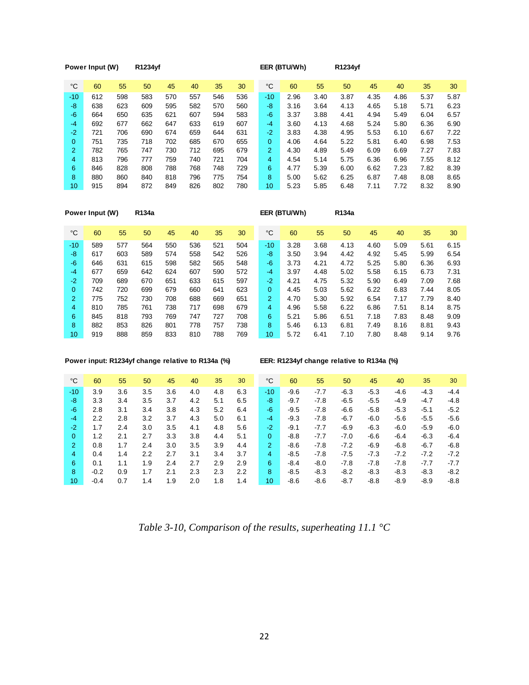|                | Power Input (W) |     | R1234yf |     |     |     |     |              | EER (BTU/Wh) |      | R1234yf |      |      |      |      |
|----------------|-----------------|-----|---------|-----|-----|-----|-----|--------------|--------------|------|---------|------|------|------|------|
| $^{\circ}C$    | 60              | 55  | 50      | 45  | 40  | 35  | 30  | $^{\circ}C$  | 60           | 55   | 50      | 45   | 40   | 35   | 30   |
| $-10$          | 612             | 598 | 583     | 570 | 557 | 546 | 536 | $-10$        | 2.96         | 3.40 | 3.87    | 4.35 | 4.86 | 5.37 | 5.87 |
| -8             | 638             | 623 | 609     | 595 | 582 | 570 | 560 | -8           | 3.16         | 3.64 | 4.13    | 4.65 | 5.18 | 5.71 | 6.23 |
| $-6$           | 664             | 650 | 635     | 621 | 607 | 594 | 583 | $-6$         | 3.37         | 3.88 | 4.41    | 4.94 | 5.49 | 6.04 | 6.57 |
| $-4$           | 692             | 677 | 662     | 647 | 633 | 619 | 607 | $-4$         | 3.60         | 4.13 | 4.68    | 5.24 | 5.80 | 6.36 | 6.90 |
| $-2$           | 721             | 706 | 690     | 674 | 659 | 644 | 631 | $-2$         | 3.83         | 4.38 | 4.95    | 5.53 | 6.10 | 6.67 | 7.22 |
| 0              | 751             | 735 | 718     | 702 | 685 | 670 | 655 | $\mathbf{0}$ | 4.06         | 4.64 | 5.22    | 5.81 | 6.40 | 6.98 | 7.53 |
| $\overline{2}$ | 782             | 765 | 747     | 730 | 712 | 695 | 679 | 2            | 4.30         | 4.89 | 5.49    | 6.09 | 6.69 | 7.27 | 7.83 |
| 4              | 813             | 796 | 777     | 759 | 740 | 721 | 704 | 4            | 4.54         | 5.14 | 5.75    | 6.36 | 6.96 | 7.55 | 8.12 |
| 6              | 846             | 828 | 808     | 788 | 768 | 748 | 729 | 6            | 4.77         | 5.39 | 6.00    | 6.62 | 7.23 | 7.82 | 8.39 |
| 8              | 880             | 860 | 840     | 818 | 796 | 775 | 754 | 8            | 5.00         | 5.62 | 6.25    | 6.87 | 7.48 | 8.08 | 8.65 |
| 10             | 915             | 894 | 872     | 849 | 826 | 802 | 780 | 10           | 5.23         | 5.85 | 6.48    | 7.11 | 7.72 | 8.32 | 8.90 |

|                | Power Input (W) |     | R134a |     |     |     |     |              | EER (BTU/Wh) |      | R134a |      |      |      |      |
|----------------|-----------------|-----|-------|-----|-----|-----|-----|--------------|--------------|------|-------|------|------|------|------|
| $^{\circ}C$    | 60              | 55  | 50    | 45  | 40  | 35  | 30  | $^{\circ}$ C | 60           | 55   | 50    | 45   | 40   | 35   | 30   |
| $-10$          | 589             | 577 | 564   | 550 | 536 | 521 | 504 | $-10$        | 3.28         | 3.68 | 4.13  | 4.60 | 5.09 | 5.61 | 6.15 |
| -8             | 617             | 603 | 589   | 574 | 558 | 542 | 526 | -8           | 3.50         | 3.94 | 4.42  | 4.92 | 5.45 | 5.99 | 6.54 |
| $-6$           | 646             | 631 | 615   | 598 | 582 | 565 | 548 | $-6$         | 3.73         | 4.21 | 4.72  | 5.25 | 5.80 | 6.36 | 6.93 |
| $-4$           | 677             | 659 | 642   | 624 | 607 | 590 | 572 | $-4$         | 3.97         | 4.48 | 5.02  | 5.58 | 6.15 | 6.73 | 7.31 |
| $-2$           | 709             | 689 | 670   | 651 | 633 | 615 | 597 | $-2$         | 4.21         | 4.75 | 5.32  | 5.90 | 6.49 | 7.09 | 7.68 |
| 0              | 742             | 720 | 699   | 679 | 660 | 641 | 623 | $\mathbf{0}$ | 4.45         | 5.03 | 5.62  | 6.22 | 6.83 | 7.44 | 8.05 |
| $\overline{2}$ | 775             | 752 | 730   | 708 | 688 | 669 | 651 | 2            | 4.70         | 5.30 | 5.92  | 6.54 | 7.17 | 7.79 | 8.40 |
| 4              | 810             | 785 | 761   | 738 | 717 | 698 | 679 | 4            | 4.96         | 5.58 | 6.22  | 6.86 | 7.51 | 8.14 | 8.75 |
| 6              | 845             | 818 | 793   | 769 | 747 | 727 | 708 | 6            | 5.21         | 5.86 | 6.51  | 7.18 | 7.83 | 8.48 | 9.09 |
| 8              | 882             | 853 | 826   | 801 | 778 | 757 | 738 | 8            | 5.46         | 6.13 | 6.81  | 7.49 | 8.16 | 8.81 | 9.43 |
| 10             | 919             | 888 | 859   | 833 | 810 | 788 | 769 | 10           | 5.72         | 6.41 | 7.10  | 7.80 | 8.48 | 9.14 | 9.76 |

### **Power input: R1234yf change relative to R134a (%) EER: R1234yf change relative to R134a (%)**

| °C       | 60     | 55  | 50  | 45  | 40  | 35  | 30  | °C           | 60     | 55     | 50     | 45     | 40     | 35     | 30     |
|----------|--------|-----|-----|-----|-----|-----|-----|--------------|--------|--------|--------|--------|--------|--------|--------|
| $-10$    | 3.9    | 3.6 | 3.5 | 3.6 | 4.0 | 4.8 | 6.3 | $-10$        | $-9.6$ | $-7.7$ | $-6.3$ | $-5.3$ | $-4.6$ | $-4.3$ | $-4.4$ |
| -8       | 3.3    | 3.4 | 3.5 | 3.7 | 4.2 | 5.1 | 6.5 | -8           | $-9.7$ | $-7.8$ | $-6.5$ | $-5.5$ | $-4.9$ | $-4.7$ | $-4.8$ |
| -6       | 2.8    | 3.1 | 3.4 | 3.8 | 4.3 | 5.2 | 6.4 | -6           | $-9.5$ | $-7.8$ | -6.6   | $-5.8$ | $-5.3$ | $-5.1$ | $-5.2$ |
| $-4$     | 2.2    | 2.8 | 3.2 | 3.7 | 4.3 | 5.0 | 6.1 | -4           | $-9.3$ | $-7.8$ | $-6.7$ | $-6.0$ | $-5.6$ | $-5.5$ | $-5.6$ |
| $-2$     | 1.7    | 2.4 | 3.0 | 3.5 | 4.1 | 4.8 | 5.6 | $-2$         | $-9.1$ | $-7.7$ | $-6.9$ | $-6.3$ | $-6.0$ | $-5.9$ | $-6.0$ |
| $\Omega$ | 1.2    | 2.1 | 2.7 | 3.3 | 3.8 | 4.4 | 5.1 | $\mathbf{0}$ | $-8.8$ | $-7.7$ | $-7.0$ | $-6.6$ | $-6.4$ | $-6.3$ | $-6.4$ |
| 2        | 0.8    | 1.7 | 2.4 | 3.0 | 3.5 | 3.9 | 4.4 | 2            | $-8.6$ | $-7.8$ | $-7.2$ | $-6.9$ | $-6.8$ | $-6.7$ | $-6.8$ |
| 4        | 0.4    | 1.4 | 2.2 | 2.7 | 3.1 | 3.4 | 3.7 | 4            | $-8.5$ | $-7.8$ | $-7.5$ | $-7.3$ | $-7.2$ | $-7.2$ | $-7.2$ |
| 6        | 0.1    | 1.1 | 1.9 | 2.4 | 2.7 | 2.9 | 2.9 | 6            | $-8.4$ | $-8.0$ | $-7.8$ | $-7.8$ | $-7.8$ | $-7.7$ | $-7.7$ |
| 8        | $-0.2$ | 0.9 | 1.7 | 2.1 | 2.3 | 2.3 | 2.2 | 8            | $-8.5$ | $-8.3$ | $-8.2$ | $-8.3$ | $-8.3$ | $-8.3$ | $-8.2$ |
| 10       | $-0.4$ | 0.7 | 1.4 | 1.9 | 2.0 | 1.8 | 1.4 | 10           | $-8.6$ | $-8.6$ | $-8.7$ | $-8.8$ | $-8.9$ | $-8.9$ | $-8.8$ |

*Table 3-10, Comparison of the results, superheating 11.1 °C*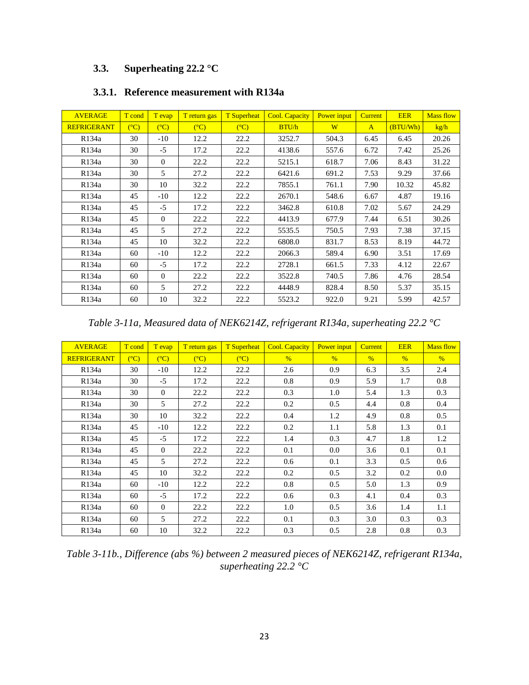## **3.3. Superheating 22.2 °C**

| <b>AVERAGE</b>     | T cond            | T evap         | T return gas   | <b>T</b> Superheat | <b>Cool. Capacity</b> | Power input | <b>Current</b> | <b>EER</b> | <b>Mass flow</b> |
|--------------------|-------------------|----------------|----------------|--------------------|-----------------------|-------------|----------------|------------|------------------|
| <b>REFRIGERANT</b> | $\rm (^{\circ}C)$ | $(C^{\circ}C)$ | $(C^{\circ}C)$ | $(C^{\circ}C)$     | BTU/h                 | W           | $\mathbf{A}$   | (BTU/Wh)   | kg/h             |
| R134a              | 30                | $-10$          | 12.2           | 22.2               | 3252.7                | 504.3       | 6.45           | 6.45       | 20.26            |
| R134a              | 30                | $-5$           | 17.2           | 22.2               | 4138.6                | 557.6       | 6.72           | 7.42       | 25.26            |
| R <sub>134</sub> a | 30                | $\Omega$       | 22.2           | 22.2               | 5215.1                | 618.7       | 7.06           | 8.43       | 31.22            |
| R134a              | 30                | 5              | 27.2           | 22.2               | 6421.6                | 691.2       | 7.53           | 9.29       | 37.66            |
| R <sub>134</sub> a | 30                | 10             | 32.2           | 22.2               | 7855.1                | 761.1       | 7.90           | 10.32      | 45.82            |
| R134a              | 45                | $-10$          | 12.2           | 22.2               | 2670.1                | 548.6       | 6.67           | 4.87       | 19.16            |
| R134a              | 45                | $-5$           | 17.2           | 22.2               | 3462.8                | 610.8       | 7.02           | 5.67       | 24.29            |
| R134a              | 45                | $\Omega$       | 22.2           | 22.2               | 4413.9                | 677.9       | 7.44           | 6.51       | 30.26            |
| R134a              | 45                | 5              | 27.2           | 22.2               | 5535.5                | 750.5       | 7.93           | 7.38       | 37.15            |
| R <sub>134</sub> a | 45                | 10             | 32.2           | 22.2               | 6808.0                | 831.7       | 8.53           | 8.19       | 44.72            |
| R134a              | 60                | $-10$          | 12.2           | 22.2               | 2066.3                | 589.4       | 6.90           | 3.51       | 17.69            |
| R134a              | 60                | $-5$           | 17.2           | 22.2               | 2728.1                | 661.5       | 7.33           | 4.12       | 22.67            |
| R134a              | 60                | $\overline{0}$ | 22.2           | 22.2               | 3522.8                | 740.5       | 7.86           | 4.76       | 28.54            |
| R <sub>134</sub> a | 60                | 5              | 27.2           | 22.2               | 4448.9                | 828.4       | 8.50           | 5.37       | 35.15            |
| R134a              | 60                | 10             | 32.2           | 22.2               | 5523.2                | 922.0       | 9.21           | 5.99       | 42.57            |

## **3.3.1. Reference measurement with R134a**

*Table 3-11a, Measured data of NEK6214Z, refrigerant R134a, superheating 22.2 °C*

| <b>AVERAGE</b>     | T cond | T evap         | T return gas   | <b>T</b> Superheat | <b>Cool. Capacity</b> | Power input   | <b>Current</b> | <b>EER</b>    | <b>Mass flow</b> |
|--------------------|--------|----------------|----------------|--------------------|-----------------------|---------------|----------------|---------------|------------------|
| <b>REFRIGERANT</b> | (C)    | $(C^{\circ}C)$ | $(C^{\circ}C)$ | $(C^{\circ}C)$     | $\frac{0}{6}$         | $\frac{0}{6}$ | $\%$           | $\frac{0}{6}$ | $\frac{0}{6}$    |
| R134a              | 30     | $-10$          | 12.2           | 22.2               | 2.6                   | 0.9           | 6.3            | 3.5           | 2.4              |
| R134a              | 30     | $-5$           | 17.2           | 22.2               | 0.8                   | 0.9           | 5.9            | 1.7           | 0.8              |
| R <sub>134</sub> a | 30     | $\Omega$       | 22.2           | 22.2               | 0.3                   | 1.0           | 5.4            | 1.3           | 0.3              |
| R134a              | 30     | 5              | 27.2           | 22.2               | 0.2                   | 0.5           | 4.4            | 0.8           | 0.4              |
| R134a              | 30     | 10             | 32.2           | 22.2               | 0.4                   | 1.2           | 4.9            | 0.8           | 0.5              |
| R134a              | 45     | $-10$          | 12.2           | 22.2               | 0.2                   | 1.1           | 5.8            | 1.3           | 0.1              |
| R134a              | 45     | $-5$           | 17.2           | 22.2               | 1.4                   | 0.3           | 4.7            | 1.8           | 1.2              |
| R <sub>134</sub> a | 45     | $\Omega$       | 22.2           | 22.2               | 0.1                   | $0.0\,$       | 3.6            | 0.1           | 0.1              |
| R134a              | 45     | 5              | 27.2           | 22.2               | 0.6                   | 0.1           | 3.3            | 0.5           | 0.6              |
| R134a              | 45     | 10             | 32.2           | 22.2               | 0.2                   | 0.5           | 3.2            | 0.2           | 0.0              |
| R134a              | 60     | $-10$          | 12.2           | 22.2               | 0.8                   | 0.5           | 5.0            | 1.3           | 0.9              |
| R134a              | 60     | $-5$           | 17.2           | 22.2               | 0.6                   | 0.3           | 4.1            | 0.4           | 0.3              |
| R <sub>134</sub> a | 60     | $\Omega$       | 22.2           | 22.2               | 1.0                   | 0.5           | 3.6            | 1.4           | 1.1              |
| R134a              | 60     | 5              | 27.2           | 22.2               | 0.1                   | 0.3           | 3.0            | 0.3           | 0.3              |
| R134a              | 60     | 10             | 32.2           | 22.2               | 0.3                   | 0.5           | 2.8            | 0.8           | 0.3              |

*Table 3-11b., Difference (abs %) between 2 measured pieces of NEK6214Z, refrigerant R134a, superheating 22.2 °C*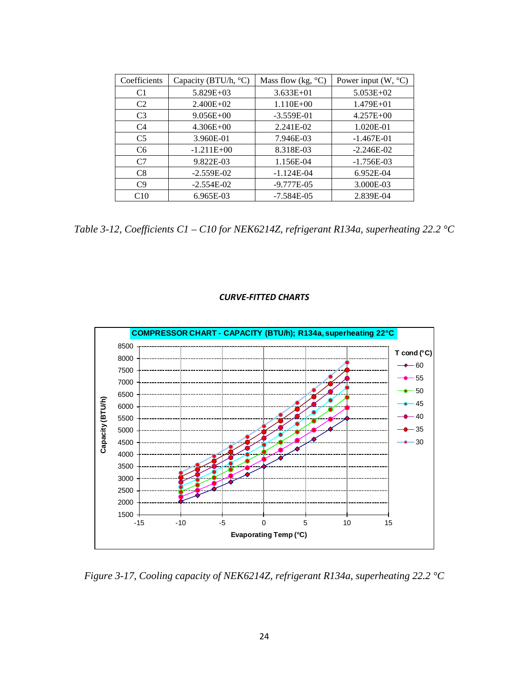| Coefficients   | Capacity (BTU/h, °C) | Mass flow (kg, $^{\circ}$ C) | Power input $(W, {}^{\circ}C)$ |
|----------------|----------------------|------------------------------|--------------------------------|
| C <sub>1</sub> | $5.829E+03$          | $3.633E + 01$                | $5.053E+02$                    |
| C <sub>2</sub> | $2.400E + 02$        | $1.110E + 00$                | 1.479E+01                      |
| C <sub>3</sub> | $9.056E + 00$        | $-3.559E-01$                 | $4.257E + 00$                  |
| C <sub>4</sub> | $4.306E + 00$        | 2.241E-02                    | 1.020E-01                      |
| C <sub>5</sub> | 3.960E-01            | 7.946E-03                    | $-1.467E-01$                   |
| C <sub>6</sub> | $-1.211E+00$         | 8.318E-03                    | $-2.246E-02$                   |
| C <sub>7</sub> | 9.822E-03            | 1.156E-04                    | $-1.756E-03$                   |
| C8             | $-2.559E-02$         | $-1.124E-04$                 | 6.952E-04                      |
| C9             | $-2.554E-02$         | $-9.777E-05$                 | 3.000E-03                      |
| C10            | 6.965E-03            | $-7.584E-05$                 | 2.839E-04                      |

*Table 3-12, Coefficients C1 – C10 for NEK6214Z, refrigerant R134a, superheating 22.2 °C*

### *CURVE-FITTED CHARTS*

![](_page_24_Figure_3.jpeg)

*Figure 3-17, Cooling capacity of NEK6214Z, refrigerant R134a, superheating 22.2 °C*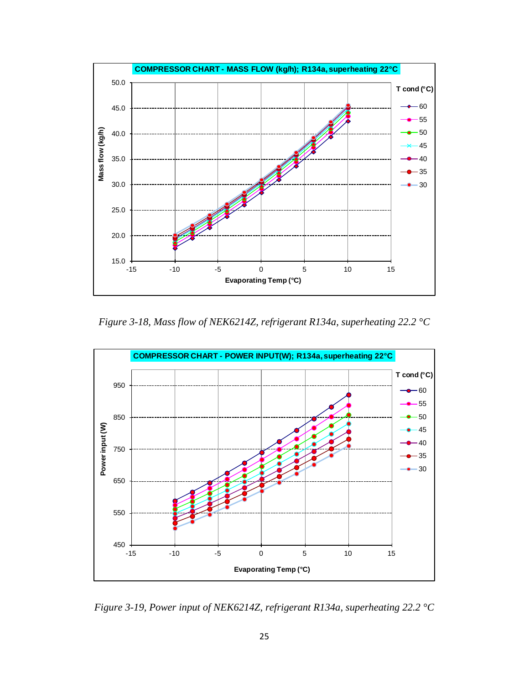![](_page_25_Figure_0.jpeg)

*Figure 3-18, Mass flow of NEK6214Z, refrigerant R134a, superheating 22.2 °C*

![](_page_25_Figure_2.jpeg)

*Figure 3-19, Power input of NEK6214Z, refrigerant R134a, superheating 22.2 °C*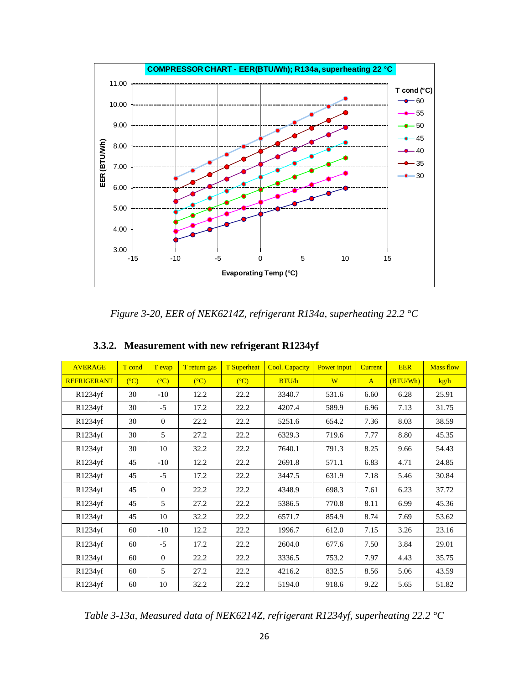![](_page_26_Figure_0.jpeg)

*Figure 3-20, EER of NEK6214Z, refrigerant R134a, superheating 22.2 °C*

| <b>AVERAGE</b>     | T cond         | T evap         | T return gas   | <b>T</b> Superheat | <b>Cool. Capacity</b> | Power input | <b>Current</b> | <b>EER</b> | <b>Mass flow</b> |
|--------------------|----------------|----------------|----------------|--------------------|-----------------------|-------------|----------------|------------|------------------|
| <b>REFRIGERANT</b> | $(C^{\circ}C)$ | $(C^{\circ}C)$ | $(C^{\circ}C)$ | $(C^{\circ}C)$     | BTU/h                 | W           | $\mathbf{A}$   | (BTU/Wh)   | kg/h             |
| R1234yf            | 30             | $-10$          | 12.2           | 22.2               | 3340.7                | 531.6       | 6.60           | 6.28       | 25.91            |
| R1234yf            | 30             | $-5$           | 17.2           | 22.2               | 4207.4                | 589.9       | 6.96           | 7.13       | 31.75            |
| R1234yf            | 30             | $\Omega$       | 22.2           | 22.2               | 5251.6                | 654.2       | 7.36           | 8.03       | 38.59            |
| R1234yf            | 30             | 5              | 27.2           | 22.2               | 6329.3                | 719.6       | 7.77           | 8.80       | 45.35            |
| R1234yf            | 30             | 10             | 32.2           | 22.2               | 7640.1                | 791.3       | 8.25           | 9.66       | 54.43            |
| R1234yf            | 45             | $-10$          | 12.2           | 22.2               | 2691.8                | 571.1       | 6.83           | 4.71       | 24.85            |
| R1234yf            | 45             | $-5$           | 17.2           | 22.2               | 3447.5                | 631.9       | 7.18           | 5.46       | 30.84            |
| R1234yf            | 45             | $\Omega$       | 22.2           | 22.2               | 4348.9                | 698.3       | 7.61           | 6.23       | 37.72            |
| R1234yf            | 45             | 5              | 27.2           | 22.2               | 5386.5                | 770.8       | 8.11           | 6.99       | 45.36            |
| R1234yf            | 45             | 10             | 32.2           | 22.2               | 6571.7                | 854.9       | 8.74           | 7.69       | 53.62            |
| R1234yf            | 60             | $-10$          | 12.2           | 22.2               | 1996.7                | 612.0       | 7.15           | 3.26       | 23.16            |
| R1234yf            | 60             | $-5$           | 17.2           | 22.2               | 2604.0                | 677.6       | 7.50           | 3.84       | 29.01            |
| R1234yf            | 60             | $\Omega$       | 22.2           | 22.2               | 3336.5                | 753.2       | 7.97           | 4.43       | 35.75            |
| R1234yf            | 60             | 5              | 27.2           | 22.2               | 4216.2                | 832.5       | 8.56           | 5.06       | 43.59            |
| R1234yf            | 60             | 10             | 32.2           | 22.2               | 5194.0                | 918.6       | 9.22           | 5.65       | 51.82            |

## **3.3.2. Measurement with new refrigerant R1234yf**

*Table 3-13a, Measured data of NEK6214Z, refrigerant R1234yf, superheating 22.2 °C*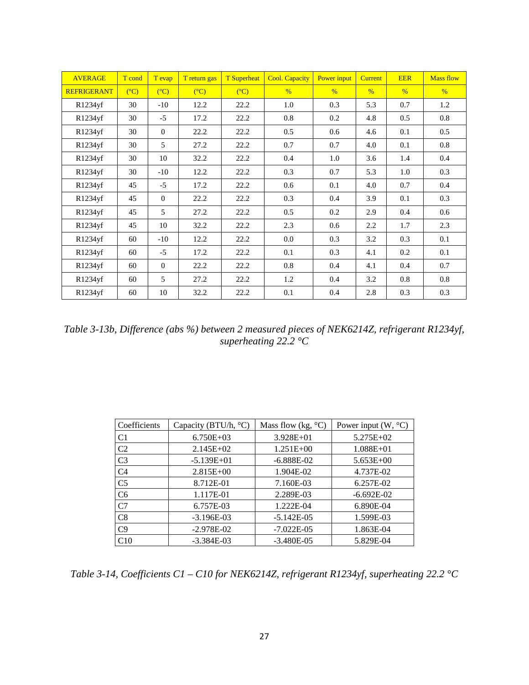| <b>AVERAGE</b>     | T cond | T evap   | T return gas   | <b>T</b> Superheat | <b>Cool. Capacity</b> | Power input   | <b>Current</b> | <b>EER</b>    | <b>Mass flow</b> |
|--------------------|--------|----------|----------------|--------------------|-----------------------|---------------|----------------|---------------|------------------|
| <b>REFRIGERANT</b> | (C)    | (C)      | $(C^{\circ}C)$ | $(C^{\circ}C)$     | $\%$                  | $\frac{9}{6}$ | $\%$           | $\frac{9}{6}$ | $\frac{9}{6}$    |
| R1234yf            | 30     | $-10$    | 12.2           | 22.2               | 1.0                   | 0.3           | 5.3            | 0.7           | 1.2              |
| R1234yf            | 30     | $-5$     | 17.2           | 22.2               | 0.8                   | 0.2           | 4.8            | 0.5           | 0.8              |
| R1234yf            | 30     | $\Omega$ | 22.2           | 22.2               | 0.5                   | 0.6           | 4.6            | 0.1           | 0.5              |
| R1234yf            | 30     | 5        | 27.2           | 22.2               | 0.7                   | 0.7           | 4.0            | 0.1           | 0.8              |
| R1234yf            | 30     | 10       | 32.2           | 22.2               | 0.4                   | 1.0           | 3.6            | 1.4           | 0.4              |
| R1234yf            | 30     | $-10$    | 12.2           | 22.2               | 0.3                   | 0.7           | 5.3            | 1.0           | 0.3              |
| R1234yf            | 45     | $-5$     | 17.2           | 22.2               | 0.6                   | 0.1           | 4.0            | 0.7           | 0.4              |
| R1234yf            | 45     | $\theta$ | 22.2           | 22.2               | 0.3                   | 0.4           | 3.9            | 0.1           | 0.3              |
| R1234yf            | 45     | 5        | 27.2           | 22.2               | 0.5                   | 0.2           | 2.9            | 0.4           | 0.6              |
| R1234yf            | 45     | 10       | 32.2           | 22.2               | 2.3                   | 0.6           | 2.2            | 1.7           | 2.3              |
| R1234yf            | 60     | $-10$    | 12.2           | 22.2               | 0.0                   | 0.3           | 3.2            | 0.3           | 0.1              |
| R1234yf            | 60     | $-5$     | 17.2           | 22.2               | 0.1                   | 0.3           | 4.1            | 0.2           | 0.1              |
| R1234yf            | 60     | $\theta$ | 22.2           | 22.2               | 0.8                   | 0.4           | 4.1            | 0.4           | 0.7              |
| R1234yf            | 60     | 5        | 27.2           | 22.2               | 1.2                   | 0.4           | 3.2            | 0.8           | 0.8              |
| R1234yf            | 60     | 10       | 32.2           | 22.2               | 0.1                   | 0.4           | 2.8            | 0.3           | 0.3              |

*Table 3-13b, Difference (abs %) between 2 measured pieces of NEK6214Z, refrigerant R1234yf, superheating 22.2 °C*

| Coefficients   | Capacity (BTU/h, °C) | Mass flow (kg, $^{\circ}C$ ) | Power input $(W, {}^{\circ}C)$ |
|----------------|----------------------|------------------------------|--------------------------------|
| C <sub>1</sub> | $6.750E+03$          | $3.928E + 01$                | 5.275E+02                      |
| C <sub>2</sub> | $2.145E+02$          | $1.251E + 00$                | $1.088E + 01$                  |
| C <sub>3</sub> | $-5.139E + 01$       | $-6.888E-02$                 | $5.653E + 00$                  |
| C <sub>4</sub> | $2.815E+00$          | 1.904E-02                    | 4.737E-02                      |
| C <sub>5</sub> | 8.712E-01            | 7.160E-03                    | 6.257E-02                      |
| C <sub>6</sub> | 1.117E-01            | 2.289E-03                    | $-6.692E-02$                   |
| C <sub>7</sub> | 6.757E-03            | 1.222E-04                    | 6.890E-04                      |
| C8             | $-3.196E-03$         | $-5.142E - 05$               | 1.599E-03                      |
| C <sub>9</sub> | $-2.978E-02$         | $-7.022E - 05$               | 1.863E-04                      |
| C10            | $-3.384E - 03$       | $-3.480E - 05$               | 5.829E-04                      |

*Table 3-14, Coefficients C1 – C10 for NEK6214Z, refrigerant R1234yf, superheating 22.2 °C*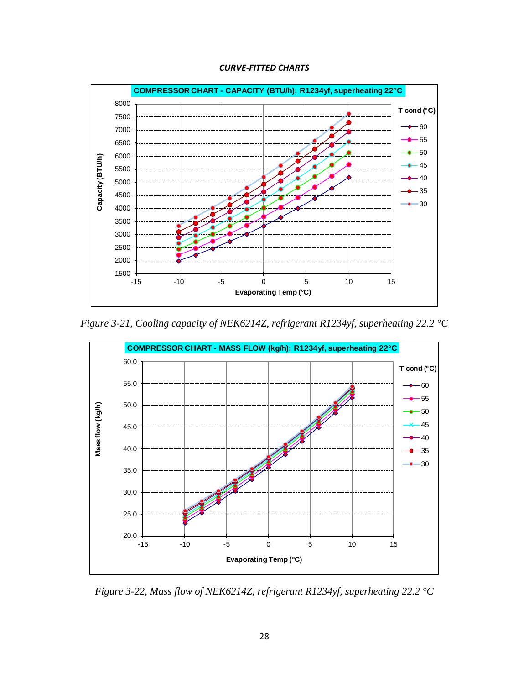### *CURVE-FITTED CHARTS*

![](_page_28_Figure_1.jpeg)

*Figure 3-21, Cooling capacity of NEK6214Z, refrigerant R1234yf, superheating 22.2 °C*

![](_page_28_Figure_3.jpeg)

*Figure 3-22, Mass flow of NEK6214Z, refrigerant R1234yf, superheating 22.2 °C*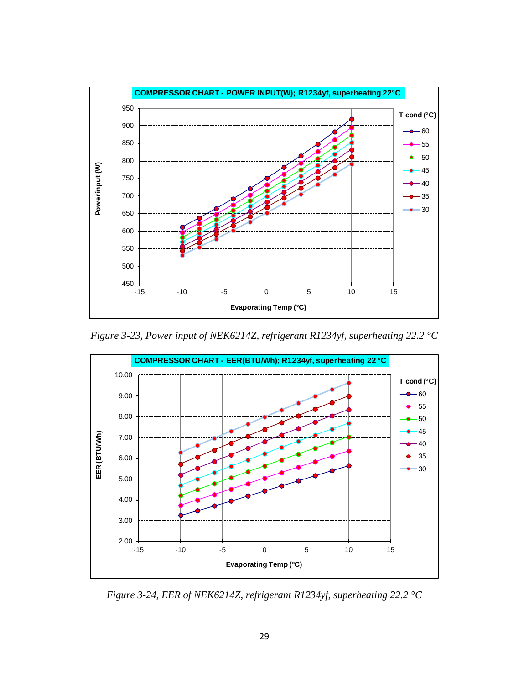![](_page_29_Figure_0.jpeg)

*Figure 3-23, Power input of NEK6214Z, refrigerant R1234yf, superheating 22.2 °C*

![](_page_29_Figure_2.jpeg)

*Figure 3-24, EER of NEK6214Z, refrigerant R1234yf, superheating 22.2 °C*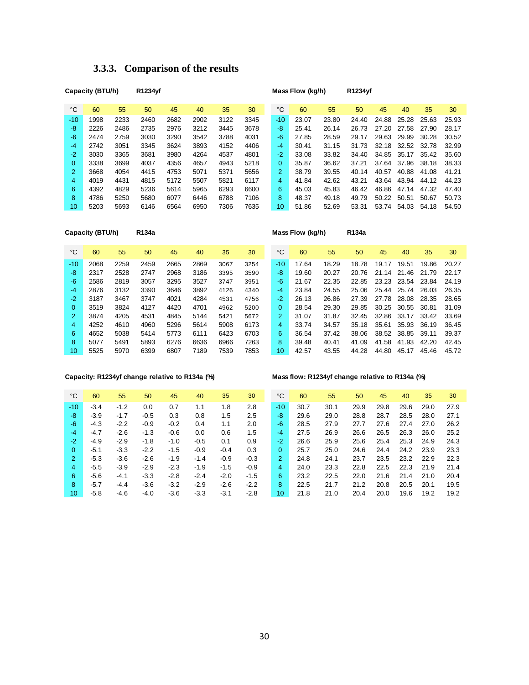|                | Capacity (BTU/h) |      | R1234vf |      |      |      |      |                  | Mass Flow (kg/h) |       | R1234vf |       |       |       |       |
|----------------|------------------|------|---------|------|------|------|------|------------------|------------------|-------|---------|-------|-------|-------|-------|
| °C             | 60               | 55   | 50      | 45   | 40   | 35   | 30   | °C               | 60               | 55    | 50      | 45    | 40    | 35    | 30    |
| $-10$          | 1998             | 2233 | 2460    | 2682 | 2902 | 3122 | 3345 | $-10$            | 23.07            | 23.80 | 24.40   | 24.88 | 25.28 | 25.63 | 25.93 |
| -8             | 2226             | 2486 | 2735    | 2976 | 3212 | 3445 | 3678 | -8               | 25.41            | 26.14 | 26.73   | 27.20 | 27.58 | 27.90 | 28.17 |
| $-6$           | 2474             | 2759 | 3030    | 3290 | 3542 | 3788 | 4031 | -6               | 27.85            | 28.59 | 29.17   | 29.63 | 29.99 | 30.28 | 30.52 |
| -4             | 2742             | 3051 | 3345    | 3624 | 3893 | 4152 | 4406 | $-4$             | 30.41            | 31.15 | 31.73   | 32.18 | 32.52 | 32.78 | 32.99 |
| $-2$           | 3030             | 3365 | 3681    | 3980 | 4264 | 4537 | 4801 | $-2$             | 33.08            | 33.82 | 34.40   | 34.85 | 35.17 | 35.42 | 35.60 |
| 0              | 3338             | 3699 | 4037    | 4356 | 4657 | 4943 | 5218 | $\overline{0}$   | 35.87            | 36.62 | 37.21   | 37.64 | 37.96 | 38.18 | 38.33 |
| $\overline{2}$ | 3668             | 4054 | 4415    | 4753 | 5071 | 5371 | 5656 | $\overline{2}$   | 38.79            | 39.55 | 40.14   | 40.57 | 40.88 | 41.08 | 41.21 |
| 4              | 4019             | 4431 | 4815    | 5172 | 5507 | 5821 | 6117 | 4                | 41.84            | 42.62 | 43.21   | 43.64 | 43.94 | 44.12 | 44.23 |
| 6              | 4392             | 4829 | 5236    | 5614 | 5965 | 6293 | 6600 | 6                | 45.03            | 45.83 | 46.42   | 46.86 | 47.14 | 47.32 | 47.40 |
| 8              | 4786             | 5250 | 5680    | 6077 | 6446 | 6788 | 7106 | 8                | 48.37            | 49.18 | 49.79   | 50.22 | 50.51 | 50.67 | 50.73 |
| 10             | 5203             | 5693 | 6146    | 6564 | 6950 | 7306 | 7635 | 10 <sup>10</sup> | 51.86            | 52.69 | 53.31   | 53.74 | 54.03 | 54.18 | 54.50 |

## **3.3.3. Comparison of the results**

|                | Capacity (BTU/h) |      | R134a |      |      |      |      |                | Mass Flow (kg/h) |       | R134a |       |       |       |       |
|----------------|------------------|------|-------|------|------|------|------|----------------|------------------|-------|-------|-------|-------|-------|-------|
| °C             | 60               | 55   | 50    | 45   | 40   | 35   | 30   | $^{\circ}C$    | 60               | 55    | 50    | 45    | 40    | 35    | 30    |
| $-10$          | 2068             | 2259 | 2459  | 2665 | 2869 | 3067 | 3254 | $-10$          | 17.64            | 18.29 | 18.78 | 19.17 | 19.51 | 19.86 | 20.27 |
| -8             | 2317             | 2528 | 2747  | 2968 | 3186 | 3395 | 3590 | -8             | 19.60            | 20.27 | 20.76 | 21.14 | 21.46 | 21.79 | 22.17 |
| $-6$           | 2586             | 2819 | 3057  | 3295 | 3527 | 3747 | 3951 | $-6$           | 21.67            | 22.35 | 22.85 | 23.23 | 23.54 | 23.84 | 24.19 |
| -4             | 2876             | 3132 | 3390  | 3646 | 3892 | 4126 | 4340 | $-4$           | 23.84            | 24.55 | 25.06 | 25.44 | 25.74 | 26.03 | 26.35 |
| $-2$           | 3187             | 3467 | 3747  | 4021 | 4284 | 4531 | 4756 | $-2$           | 26.13            | 26.86 | 27.39 | 27.78 | 28.08 | 28.35 | 28.65 |
| 0              | 3519             | 3824 | 4127  | 4420 | 4701 | 4962 | 5200 | $\overline{0}$ | 28.54            | 29.30 | 29.85 | 30.25 | 30.55 | 30.81 | 31.09 |
| $\overline{2}$ | 3874             | 4205 | 4531  | 4845 | 5144 | 5421 | 5672 | 2              | 31.07            | 31.87 | 32.45 | 32.86 | 33.17 | 33.42 | 33.69 |
| 4              | 4252             | 4610 | 4960  | 5296 | 5614 | 5908 | 6173 | 4              | 33.74            | 34.57 | 35.18 | 35.61 | 35.93 | 36.19 | 36.45 |
| 6              | 4652             | 5038 | 5414  | 5773 | 6111 | 6423 | 6703 | 6              | 36.54            | 37.42 | 38.06 | 38.52 | 38.85 | 39.11 | 39.37 |
| 8              | 5077             | 5491 | 5893  | 6276 | 6636 | 6966 | 7263 | 8              | 39.48            | 40.41 | 41.09 | 41.58 | 41.93 | 42.20 | 42.45 |
| 10             | 5525             | 5970 | 6399  | 6807 | 7189 | 7539 | 7853 | 10             | 42.57            | 43.55 | 44.28 | 44.80 | 45.17 | 45.46 | 45.72 |

### **Capacity: R1234yf change relative to R134a (%) Mass flow: R1234yf change relative to R134a (%)**

| °C       | 60     | 55     | 50     | 45     | 40     | 35     | 30     | °C               | 60   | 55   | 50   | 45   | 40   | 35   | 30   |
|----------|--------|--------|--------|--------|--------|--------|--------|------------------|------|------|------|------|------|------|------|
| $-10$    | $-3.4$ | $-1.2$ | 0.0    | 0.7    | 1.1    | 1.8    | 2.8    | $-10$            | 30.7 | 30.1 | 29.9 | 29.8 | 29.6 | 29.0 | 27.9 |
| -8       | $-3.9$ | $-1.7$ | $-0.5$ | 0.3    | 0.8    | 1.5    | 2.5    | -8               | 29.6 | 29.0 | 28.8 | 28.7 | 28.5 | 28.0 | 27.1 |
| $-6$     | $-4.3$ | $-2.2$ | $-0.9$ | $-0.2$ | 0.4    | 1.1    | 2.0    | $-6$             | 28.5 | 27.9 | 27.7 | 27.6 | 27.4 | 27.0 | 26.2 |
| $-4$     | $-4.7$ | $-2.6$ | $-1.3$ | $-0.6$ | 0.0    | 0.6    | 1.5    | $-4$             | 27.5 | 26.9 | 26.6 | 26.5 | 26.3 | 26.0 | 25.2 |
| $-2$     | $-4.9$ | $-2.9$ | $-1.8$ | $-1.0$ | $-0.5$ | 0.1    | 0.9    | $-2$             | 26.6 | 25.9 | 25.6 | 25.4 | 25.3 | 24.9 | 24.3 |
| $\Omega$ | $-5.1$ | $-3.3$ | $-2.2$ | $-1.5$ | $-0.9$ | $-0.4$ | 0.3    | 0                | 25.7 | 25.0 | 24.6 | 24.4 | 24.2 | 23.9 | 23.3 |
| 2        | $-5.3$ | $-3.6$ | $-2.6$ | $-1.9$ | $-1.4$ | $-0.9$ | $-0.3$ | $\overline{2}$   | 24.8 | 24.1 | 23.7 | 23.5 | 23.2 | 22.9 | 22.3 |
| 4        | $-5.5$ | $-3.9$ | $-2.9$ | $-2.3$ | $-1.9$ | $-1.5$ | $-0.9$ | 4                | 24.0 | 23.3 | 22.8 | 22.5 | 22.3 | 21.9 | 21.4 |
| 6        | $-5.6$ | $-4.1$ | $-3.3$ | $-2.8$ | $-2.4$ | $-2.0$ | $-1.5$ | 6                | 23.2 | 22.5 | 22.0 | 21.6 | 21.4 | 21.0 | 20.4 |
| 8        | $-5.7$ | $-4.4$ | $-3.6$ | $-3.2$ | $-2.9$ | $-2.6$ | $-2.2$ | 8                | 22.5 | 21.7 | 21.2 | 20.8 | 20.5 | 20.1 | 19.5 |
| 10       | $-5.8$ | $-4.6$ | $-4.0$ | $-3.6$ | $-3.3$ | $-3.1$ | $-2.8$ | 10 <sup>10</sup> | 21.8 | 21.0 | 20.4 | 20.0 | 19.6 | 19.2 | 19.2 |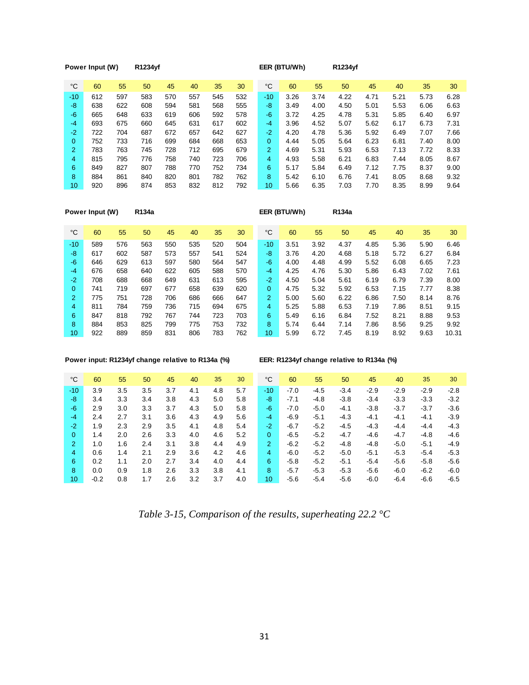|                | Power Input (W) |     | R1234yf |     |     |     |     |                | EER (BTU/Wh) |      | R1234yf |      |      |      |      |
|----------------|-----------------|-----|---------|-----|-----|-----|-----|----------------|--------------|------|---------|------|------|------|------|
| °C             | 60              | 55  | 50      | 45  | 40  | 35  | 30  | $^{\circ}C$    | 60           | 55   | 50      | 45   | 40   | 35   | 30   |
| $-10$          | 612             | 597 | 583     | 570 | 557 | 545 | 532 | $-10$          | 3.26         | 3.74 | 4.22    | 4.71 | 5.21 | 5.73 | 6.28 |
| -8             | 638             | 622 | 608     | 594 | 581 | 568 | 555 | -8             | 3.49         | 4.00 | 4.50    | 5.01 | 5.53 | 6.06 | 6.63 |
| -6             | 665             | 648 | 633     | 619 | 606 | 592 | 578 | -6             | 3.72         | 4.25 | 4.78    | 5.31 | 5.85 | 6.40 | 6.97 |
| $-4$           | 693             | 675 | 660     | 645 | 631 | 617 | 602 | -4             | 3.96         | 4.52 | 5.07    | 5.62 | 6.17 | 6.73 | 7.31 |
| $-2$           | 722             | 704 | 687     | 672 | 657 | 642 | 627 | $-2$           | 4.20         | 4.78 | 5.36    | 5.92 | 6.49 | 7.07 | 7.66 |
| 0              | 752             | 733 | 716     | 699 | 684 | 668 | 653 | $\mathbf{0}$   | 4.44         | 5.05 | 5.64    | 6.23 | 6.81 | 7.40 | 8.00 |
| $\overline{2}$ | 783             | 763 | 745     | 728 | 712 | 695 | 679 | $\overline{2}$ | 4.69         | 5.31 | 5.93    | 6.53 | 7.13 | 7.72 | 8.33 |
| 4              | 815             | 795 | 776     | 758 | 740 | 723 | 706 | 4              | 4.93         | 5.58 | 6.21    | 6.83 | 7.44 | 8.05 | 8.67 |
| 6              | 849             | 827 | 807     | 788 | 770 | 752 | 734 | 6              | 5.17         | 5.84 | 6.49    | 7.12 | 7.75 | 8.37 | 9.00 |
| 8              | 884             | 861 | 840     | 820 | 801 | 782 | 762 | 8              | 5.42         | 6.10 | 6.76    | 7.41 | 8.05 | 8.68 | 9.32 |
| 10             | 920             | 896 | 874     | 853 | 832 | 812 | 792 | 10             | 5.66         | 6.35 | 7.03    | 7.70 | 8.35 | 8.99 | 9.64 |

|                | Power Input (W) |     | R134a |     |     |     |     | EER (BTU/Wh)   |      | R134a |      |      |      |      |       |
|----------------|-----------------|-----|-------|-----|-----|-----|-----|----------------|------|-------|------|------|------|------|-------|
| $^{\circ}C$    | 60              | 55  | 50    | 45  | 40  | 35  | 30  | $^{\circ}$ C   | 60   | 55    | 50   | 45   | 40   | 35   | 30    |
| $-10$          | 589             | 576 | 563   | 550 | 535 | 520 | 504 | $-10$          | 3.51 | 3.92  | 4.37 | 4.85 | 5.36 | 5.90 | 6.46  |
| -8             | 617             | 602 | 587   | 573 | 557 | 541 | 524 | -8             | 3.76 | 4.20  | 4.68 | 5.18 | 5.72 | 6.27 | 6.84  |
| $-6$           | 646             | 629 | 613   | 597 | 580 | 564 | 547 | -6             | 4.00 | 4.48  | 4.99 | 5.52 | 6.08 | 6.65 | 7.23  |
| $-4$           | 676             | 658 | 640   | 622 | 605 | 588 | 570 | -4             | 4.25 | 4.76  | 5.30 | 5.86 | 6.43 | 7.02 | 7.61  |
| $-2$           | 708             | 688 | 668   | 649 | 631 | 613 | 595 | $-2$           | 4.50 | 5.04  | 5.61 | 6.19 | 6.79 | 7.39 | 8.00  |
| 0              | 741             | 719 | 697   | 677 | 658 | 639 | 620 | $\mathbf{0}$   | 4.75 | 5.32  | 5.92 | 6.53 | 7.15 | 7.77 | 8.38  |
| $\overline{2}$ | 775             | 751 | 728   | 706 | 686 | 666 | 647 | $\overline{2}$ | 5.00 | 5.60  | 6.22 | 6.86 | 7.50 | 8.14 | 8.76  |
| 4              | 811             | 784 | 759   | 736 | 715 | 694 | 675 | 4              | 5.25 | 5.88  | 6.53 | 7.19 | 7.86 | 8.51 | 9.15  |
| 6              | 847             | 818 | 792   | 767 | 744 | 723 | 703 | 6              | 5.49 | 6.16  | 6.84 | 7.52 | 8.21 | 8.88 | 9.53  |
| 8              | 884             | 853 | 825   | 799 | 775 | 753 | 732 | 8              | 5.74 | 6.44  | 7.14 | 7.86 | 8.56 | 9.25 | 9.92  |
| 10             | 922             | 889 | 859   | 831 | 806 | 783 | 762 | 10             | 5.99 | 6.72  | 7.45 | 8.19 | 8.92 | 9.63 | 10.31 |

### **Power input: R1234yf change relative to R134a (%) EER: R1234yf change relative to R134a (%)**

| °C              | 60     | 55  | 50  | 45  | 40  | 35  | 30  | °C             | 60     | 55     | 50     | 45     | 40     | 35     | 30     |
|-----------------|--------|-----|-----|-----|-----|-----|-----|----------------|--------|--------|--------|--------|--------|--------|--------|
| $-10$           | 3.9    | 3.5 | 3.5 | 3.7 | 4.1 | 4.8 | 5.7 | $-10$          | $-7.0$ | $-4.5$ | $-3.4$ | $-2.9$ | $-2.9$ | $-2.9$ | $-2.8$ |
| -8              | 3.4    | 3.3 | 3.4 | 3.8 | 4.3 | 5.0 | 5.8 | -8             | $-7.1$ | $-4.8$ | $-3.8$ | $-3.4$ | $-3.3$ | $-3.3$ | $-3.2$ |
| -6              | 2.9    | 3.0 | 3.3 | 3.7 | 4.3 | 5.0 | 5.8 | -6             | $-7.0$ | $-5.0$ | $-4.1$ | $-3.8$ | $-3.7$ | $-3.7$ | $-3.6$ |
| $-4$            | 2.4    | 2.7 | 3.1 | 3.6 | 4.3 | 4.9 | 5.6 | $-4$           | $-6.9$ | $-5.1$ | $-4.3$ | $-4.1$ | $-4.1$ | $-4.1$ | $-3.9$ |
| $-2$            | 1.9    | 2.3 | 2.9 | 3.5 | 4.1 | 4.8 | 5.4 | $-2$           | $-6.7$ | $-5.2$ | $-4.5$ | $-4.3$ | $-4.4$ | $-4.4$ | $-4.3$ |
| 0               | 1.4    | 2.0 | 2.6 | 3.3 | 4.0 | 4.6 | 5.2 | 0              | $-6.5$ | $-5.2$ | $-4.7$ | $-4.6$ | $-4.7$ | $-4.8$ | -4.6   |
| 2               | 1.0    | 1.6 | 2.4 | 3.1 | 3.8 | 4.4 | 4.9 | $\overline{2}$ | $-6.2$ | $-5.2$ | $-4.8$ | $-4.8$ | $-5.0$ | $-5.1$ | $-4.9$ |
| 4               | 0.6    | 1.4 | 2.1 | 2.9 | 3.6 | 4.2 | 4.6 | 4              | $-6.0$ | $-5.2$ | $-5.0$ | $-5.1$ | $-5.3$ | $-5.4$ | $-5.3$ |
| 6               | 0.2    | 1.1 | 2.0 | 2.7 | 3.4 | 4.0 | 4.4 | 6              | $-5.8$ | $-5.2$ | $-5.1$ | $-5.4$ | $-5.6$ | $-5.8$ | $-5.6$ |
| 8               | 0.0    | 0.9 | 1.8 | 2.6 | 3.3 | 3.8 | 4.1 | 8              | $-5.7$ | $-5.3$ | $-5.3$ | $-5.6$ | $-6.0$ | $-6.2$ | $-6.0$ |
| 10 <sup>°</sup> | $-0.2$ | 0.8 | 1.7 | 2.6 | 3.2 | 3.7 | 4.0 | 10             | $-5.6$ | $-5.4$ | $-5.6$ | $-6.0$ | $-6.4$ | $-6.6$ | $-6.5$ |

*Table 3-15, Comparison of the results, superheating 22.2 °C*